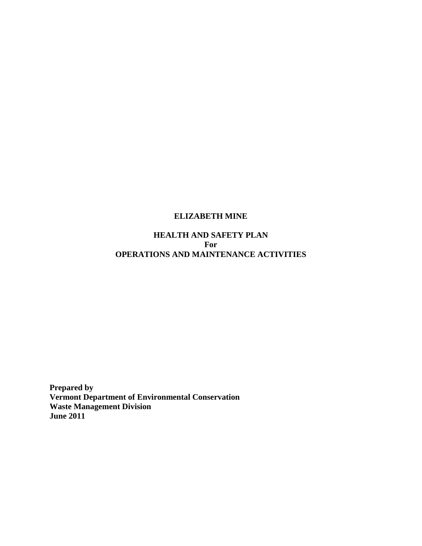# **ELIZABETH MINE**

# **HEALTH AND SAFETY PLAN For OPERATIONS AND MAINTENANCE ACTIVITIES**

**Prepared by Vermont Department of Environmental Conservation Waste Management Division June 2011**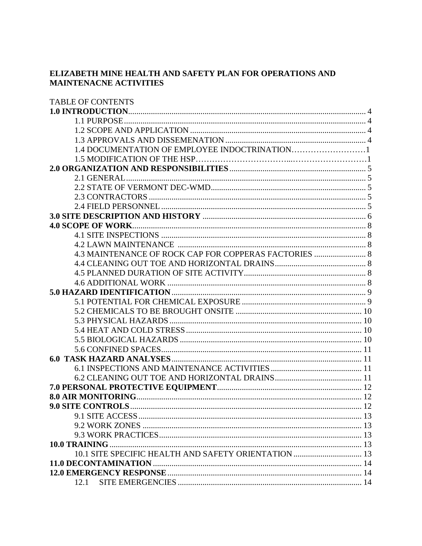# ELIZABETH MINE HEALTH AND SAFETY PLAN FOR OPERATIONS AND **MAINTENACNE ACTIVITIES**

| <b>TABLE OF CONTENTS</b>                              |  |
|-------------------------------------------------------|--|
|                                                       |  |
|                                                       |  |
|                                                       |  |
|                                                       |  |
|                                                       |  |
|                                                       |  |
|                                                       |  |
|                                                       |  |
|                                                       |  |
|                                                       |  |
|                                                       |  |
|                                                       |  |
|                                                       |  |
|                                                       |  |
|                                                       |  |
| 4.3 MAINTENANCE OF ROCK CAP FOR COPPERAS FACTORIES  8 |  |
|                                                       |  |
|                                                       |  |
|                                                       |  |
|                                                       |  |
|                                                       |  |
|                                                       |  |
|                                                       |  |
|                                                       |  |
|                                                       |  |
|                                                       |  |
|                                                       |  |
|                                                       |  |
|                                                       |  |
|                                                       |  |
|                                                       |  |
| <b>9.0 SITE CONTROLS</b><br>$\frac{12}{12}$           |  |
|                                                       |  |
|                                                       |  |
|                                                       |  |
|                                                       |  |
| 10.1 SITE SPECIFIC HEALTH AND SAFETY ORIENTATION  13  |  |
|                                                       |  |
|                                                       |  |
| 12.1                                                  |  |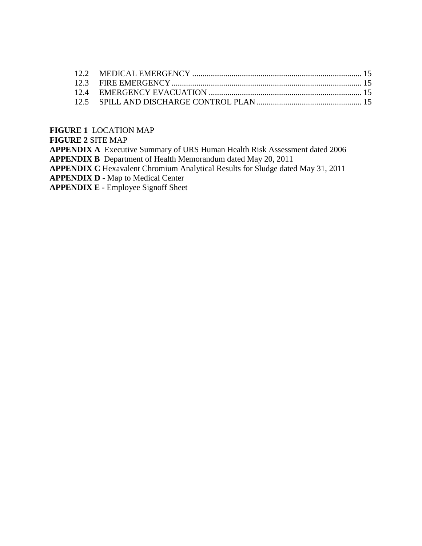# **FIGURE 1** LOCATION MAP

**FIGURE 2** SITE MAP

**APPENDIX A** Executive Summary of URS Human Health Risk Assessment dated 2006 **APPENDIX B** Department of Health Memorandum dated May 20, 2011 **APPENDIX C** Hexavalent Chromium Analytical Results for Sludge dated May 31, 2011 **APPENDIX D** - Map to Medical Center

**APPENDIX E** - Employee Signoff Sheet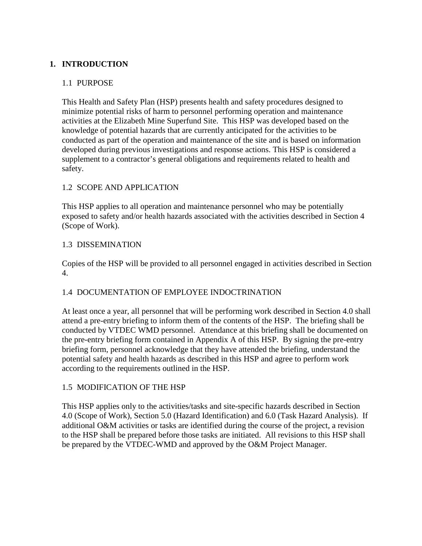# **1. INTRODUCTION**

#### 1.1 PURPOSE

This Health and Safety Plan (HSP) presents health and safety procedures designed to minimize potential risks of harm to personnel performing operation and maintenance activities at the Elizabeth Mine Superfund Site. This HSP was developed based on the knowledge of potential hazards that are currently anticipated for the activities to be conducted as part of the operation and maintenance of the site and is based on information developed during previous investigations and response actions. This HSP is considered a supplement to a contractor's general obligations and requirements related to health and safety.

# 1.2 SCOPE AND APPLICATION

This HSP applies to all operation and maintenance personnel who may be potentially exposed to safety and/or health hazards associated with the activities described in Section 4 (Scope of Work).

# 1.3 DISSEMINATION

Copies of the HSP will be provided to all personnel engaged in activities described in Section 4.

# 1.4 DOCUMENTATION OF EMPLOYEE INDOCTRINATION

At least once a year, all personnel that will be performing work described in Section 4.0 shall attend a pre-entry briefing to inform them of the contents of the HSP. The briefing shall be conducted by VTDEC WMD personnel. Attendance at this briefing shall be documented on the pre-entry briefing form contained in Appendix A of this HSP. By signing the pre-entry briefing form, personnel acknowledge that they have attended the briefing, understand the potential safety and health hazards as described in this HSP and agree to perform work according to the requirements outlined in the HSP.

# 1.5 MODIFICATION OF THE HSP

This HSP applies only to the activities/tasks and site-specific hazards described in Section 4.0 (Scope of Work), Section 5.0 (Hazard Identification) and 6.0 (Task Hazard Analysis). If additional O&M activities or tasks are identified during the course of the project, a revision to the HSP shall be prepared before those tasks are initiated. All revisions to this HSP shall be prepared by the VTDEC-WMD and approved by the O&M Project Manager.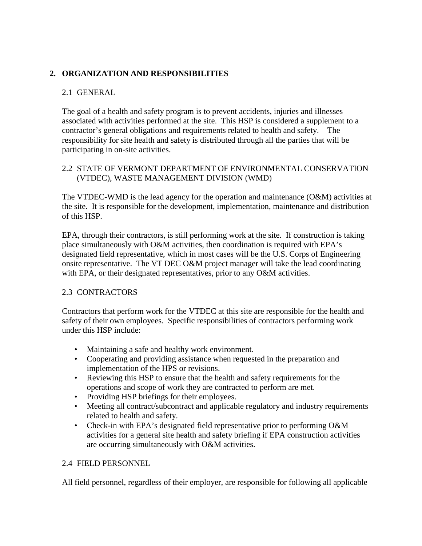# **2. ORGANIZATION AND RESPONSIBILITIES**

# 2.1 GENERAL

The goal of a health and safety program is to prevent accidents, injuries and illnesses associated with activities performed at the site. This HSP is considered a supplement to a contractor's general obligations and requirements related to health and safety. The responsibility for site health and safety is distributed through all the parties that will be participating in on-site activities.

### 2.2 STATE OF VERMONT DEPARTMENT OF ENVIRONMENTAL CONSERVATION (VTDEC), WASTE MANAGEMENT DIVISION (WMD)

The VTDEC-WMD is the lead agency for the operation and maintenance (O&M) activities at the site. It is responsible for the development, implementation, maintenance and distribution of this HSP.

EPA, through their contractors, is still performing work at the site. If construction is taking place simultaneously with O&M activities, then coordination is required with EPA's designated field representative, which in most cases will be the U.S. Corps of Engineering onsite representative. The VT DEC O&M project manager will take the lead coordinating with EPA, or their designated representatives, prior to any O&M activities.

# 2.3 CONTRACTORS

Contractors that perform work for the VTDEC at this site are responsible for the health and safety of their own employees. Specific responsibilities of contractors performing work under this HSP include:

- Maintaining a safe and healthy work environment.
- Cooperating and providing assistance when requested in the preparation and implementation of the HPS or revisions.
- Reviewing this HSP to ensure that the health and safety requirements for the operations and scope of work they are contracted to perform are met.
- Providing HSP briefings for their employees.
- Meeting all contract/subcontract and applicable regulatory and industry requirements related to health and safety.
- Check-in with EPA's designated field representative prior to performing O&M activities for a general site health and safety briefing if EPA construction activities are occurring simultaneously with O&M activities.

# 2.4 FIELD PERSONNEL

All field personnel, regardless of their employer, are responsible for following all applicable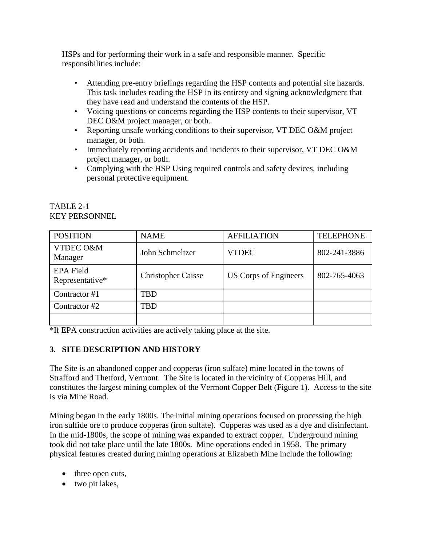HSPs and for performing their work in a safe and responsible manner. Specific responsibilities include:

- Attending pre-entry briefings regarding the HSP contents and potential site hazards. This task includes reading the HSP in its entirety and signing acknowledgment that they have read and understand the contents of the HSP.
- Voicing questions or concerns regarding the HSP contents to their supervisor, VT DEC O&M project manager, or both.
- Reporting unsafe working conditions to their supervisor, VT DEC O&M project manager, or both.
- Immediately reporting accidents and incidents to their supervisor, VT DEC O&M project manager, or both.
- Complying with the HSP Using required controls and safety devices, including personal protective equipment.

| <b>POSITION</b>                     | <b>NAME</b>               | <b>AFFILIATION</b>    | <b>TELEPHONE</b> |  |
|-------------------------------------|---------------------------|-----------------------|------------------|--|
| VTDEC O&M<br>Manager                | John Schmeltzer           | <b>VTDEC</b>          | 802-241-3886     |  |
| <b>EPA Field</b><br>Representative* | <b>Christopher Caisse</b> | US Corps of Engineers | 802-765-4063     |  |
| Contractor #1                       | TBD                       |                       |                  |  |
| Contractor #2                       | TBD                       |                       |                  |  |
|                                     |                           |                       |                  |  |

# TABLE 2-1 KEY PERSONNEL

\*If EPA construction activities are actively taking place at the site.

# **3. SITE DESCRIPTION AND HISTORY**

The Site is an abandoned copper and copperas (iron sulfate) mine located in the towns of Strafford and Thetford, Vermont. The Site is located in the vicinity of Copperas Hill, and constitutes the largest mining complex of the Vermont Copper Belt (Figure 1). Access to the site is via Mine Road.

Mining began in the early 1800s. The initial mining operations focused on processing the high iron sulfide ore to produce copperas (iron sulfate). Copperas was used as a dye and disinfectant. In the mid-1800s, the scope of mining was expanded to extract copper. Underground mining took did not take place until the late 1800s. Mine operations ended in 1958. The primary physical features created during mining operations at Elizabeth Mine include the following:

- three open cuts,
- two pit lakes,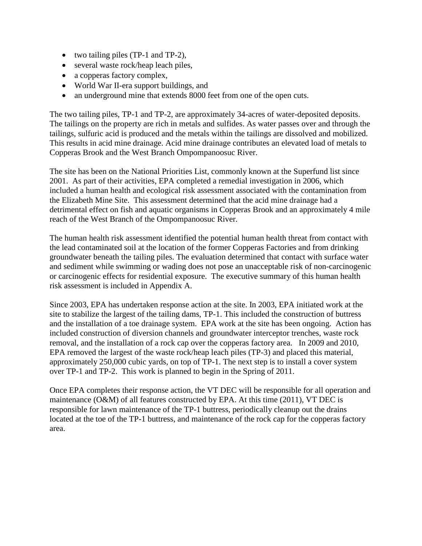- two tailing piles (TP-1 and TP-2),
- several waste rock/heap leach piles,
- a copperas factory complex,
- World War II-era support buildings, and
- an underground mine that extends 8000 feet from one of the open cuts.

The two tailing piles, TP-1 and TP-2, are approximately 34-acres of water-deposited deposits. The tailings on the property are rich in metals and sulfides. As water passes over and through the tailings, sulfuric acid is produced and the metals within the tailings are dissolved and mobilized. This results in acid mine drainage. Acid mine drainage contributes an elevated load of metals to Copperas Brook and the West Branch Ompompanoosuc River.

The site has been on the National Priorities List, commonly known at the Superfund list since 2001. As part of their activities, EPA completed a remedial investigation in 2006, which included a human health and ecological risk assessment associated with the contamination from the Elizabeth Mine Site. This assessment determined that the acid mine drainage had a detrimental effect on fish and aquatic organisms in Copperas Brook and an approximately 4 mile reach of the West Branch of the Ompompanoosuc River.

The human health risk assessment identified the potential human health threat from contact with the lead contaminated soil at the location of the former Copperas Factories and from drinking groundwater beneath the tailing piles. The evaluation determined that contact with surface water and sediment while swimming or wading does not pose an unacceptable risk of non-carcinogenic or carcinogenic effects for residential exposure. The executive summary of this human health risk assessment is included in Appendix A.

Since 2003, EPA has undertaken response action at the site. In 2003, EPA initiated work at the site to stabilize the largest of the tailing dams, TP-1. This included the construction of buttress and the installation of a toe drainage system. EPA work at the site has been ongoing. Action has included construction of diversion channels and groundwater interceptor trenches, waste rock removal, and the installation of a rock cap over the copperas factory area. In 2009 and 2010, EPA removed the largest of the waste rock/heap leach piles (TP-3) and placed this material, approximately 250,000 cubic yards, on top of TP-1. The next step is to install a cover system over TP-1 and TP-2. This work is planned to begin in the Spring of 2011.

Once EPA completes their response action, the VT DEC will be responsible for all operation and maintenance (O&M) of all features constructed by EPA. At this time (2011), VT DEC is responsible for lawn maintenance of the TP-1 buttress, periodically cleanup out the drains located at the toe of the TP-1 buttress, and maintenance of the rock cap for the copperas factory area.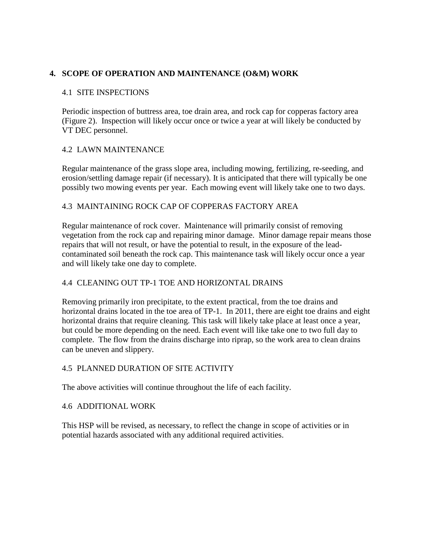# **4. SCOPE OF OPERATION AND MAINTENANCE (O&M) WORK**

#### 4.1 SITE INSPECTIONS

Periodic inspection of buttress area, toe drain area, and rock cap for copperas factory area (Figure 2). Inspection will likely occur once or twice a year at will likely be conducted by VT DEC personnel.

### 4.2 LAWN MAINTENANCE

Regular maintenance of the grass slope area, including mowing, fertilizing, re-seeding, and erosion/settling damage repair (if necessary). It is anticipated that there will typically be one possibly two mowing events per year. Each mowing event will likely take one to two days.

### 4.3 MAINTAINING ROCK CAP OF COPPERAS FACTORY AREA

Regular maintenance of rock cover. Maintenance will primarily consist of removing vegetation from the rock cap and repairing minor damage. Minor damage repair means those repairs that will not result, or have the potential to result, in the exposure of the leadcontaminated soil beneath the rock cap. This maintenance task will likely occur once a year and will likely take one day to complete.

# 4.4 CLEANING OUT TP-1 TOE AND HORIZONTAL DRAINS

Removing primarily iron precipitate, to the extent practical, from the toe drains and horizontal drains located in the toe area of TP-1. In 2011, there are eight toe drains and eight horizontal drains that require cleaning. This task will likely take place at least once a year, but could be more depending on the need. Each event will like take one to two full day to complete. The flow from the drains discharge into riprap, so the work area to clean drains can be uneven and slippery.

# 4.5 PLANNED DURATION OF SITE ACTIVITY

The above activities will continue throughout the life of each facility.

#### 4.6 ADDITIONAL WORK

This HSP will be revised, as necessary, to reflect the change in scope of activities or in potential hazards associated with any additional required activities.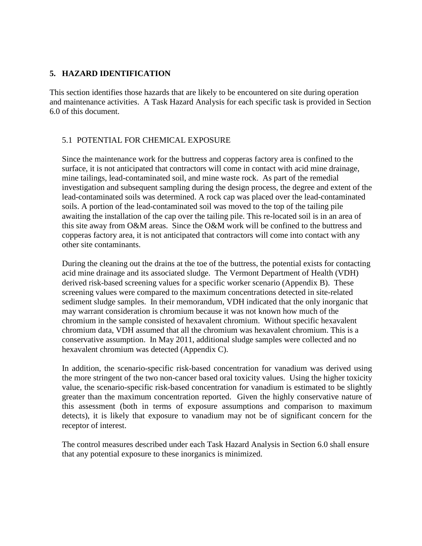### **5. HAZARD IDENTIFICATION**

This section identifies those hazards that are likely to be encountered on site during operation and maintenance activities. A Task Hazard Analysis for each specific task is provided in Section 6.0 of this document.

# 5.1 POTENTIAL FOR CHEMICAL EXPOSURE

Since the maintenance work for the buttress and copperas factory area is confined to the surface, it is not anticipated that contractors will come in contact with acid mine drainage, mine tailings, lead-contaminated soil, and mine waste rock. As part of the remedial investigation and subsequent sampling during the design process, the degree and extent of the lead-contaminated soils was determined. A rock cap was placed over the lead-contaminated soils. A portion of the lead-contaminated soil was moved to the top of the tailing pile awaiting the installation of the cap over the tailing pile. This re-located soil is in an area of this site away from O&M areas. Since the O&M work will be confined to the buttress and copperas factory area, it is not anticipated that contractors will come into contact with any other site contaminants.

During the cleaning out the drains at the toe of the buttress, the potential exists for contacting acid mine drainage and its associated sludge. The Vermont Department of Health (VDH) derived risk-based screening values for a specific worker scenario (Appendix B). These screening values were compared to the maximum concentrations detected in site-related sediment sludge samples. In their memorandum, VDH indicated that the only inorganic that may warrant consideration is chromium because it was not known how much of the chromium in the sample consisted of hexavalent chromium. Without specific hexavalent chromium data, VDH assumed that all the chromium was hexavalent chromium. This is a conservative assumption. In May 2011, additional sludge samples were collected and no hexavalent chromium was detected (Appendix C).

In addition, the scenario-specific risk-based concentration for vanadium was derived using the more stringent of the two non-cancer based oral toxicity values. Using the higher toxicity value, the scenario-specific risk-based concentration for vanadium is estimated to be slightly greater than the maximum concentration reported. Given the highly conservative nature of this assessment (both in terms of exposure assumptions and comparison to maximum detects), it is likely that exposure to vanadium may not be of significant concern for the receptor of interest.

The control measures described under each Task Hazard Analysis in Section 6.0 shall ensure that any potential exposure to these inorganics is minimized.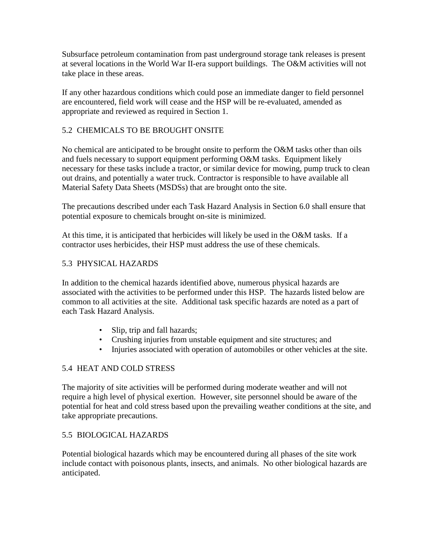Subsurface petroleum contamination from past underground storage tank releases is present at several locations in the World War II-era support buildings. The O&M activities will not take place in these areas.

If any other hazardous conditions which could pose an immediate danger to field personnel are encountered, field work will cease and the HSP will be re-evaluated, amended as appropriate and reviewed as required in Section 1.

# 5.2 CHEMICALS TO BE BROUGHT ONSITE

No chemical are anticipated to be brought onsite to perform the O&M tasks other than oils and fuels necessary to support equipment performing O&M tasks. Equipment likely necessary for these tasks include a tractor, or similar device for mowing, pump truck to clean out drains, and potentially a water truck. Contractor is responsible to have available all Material Safety Data Sheets (MSDSs) that are brought onto the site.

The precautions described under each Task Hazard Analysis in Section 6.0 shall ensure that potential exposure to chemicals brought on-site is minimized.

At this time, it is anticipated that herbicides will likely be used in the O&M tasks. If a contractor uses herbicides, their HSP must address the use of these chemicals.

# 5.3 PHYSICAL HAZARDS

In addition to the chemical hazards identified above, numerous physical hazards are associated with the activities to be performed under this HSP. The hazards listed below are common to all activities at the site. Additional task specific hazards are noted as a part of each Task Hazard Analysis.

- Slip, trip and fall hazards;
- Crushing injuries from unstable equipment and site structures; and
- Injuries associated with operation of automobiles or other vehicles at the site.

# 5.4 HEAT AND COLD STRESS

The majority of site activities will be performed during moderate weather and will not require a high level of physical exertion. However, site personnel should be aware of the potential for heat and cold stress based upon the prevailing weather conditions at the site, and take appropriate precautions.

# 5.5 BIOLOGICAL HAZARDS

Potential biological hazards which may be encountered during all phases of the site work include contact with poisonous plants, insects, and animals. No other biological hazards are anticipated.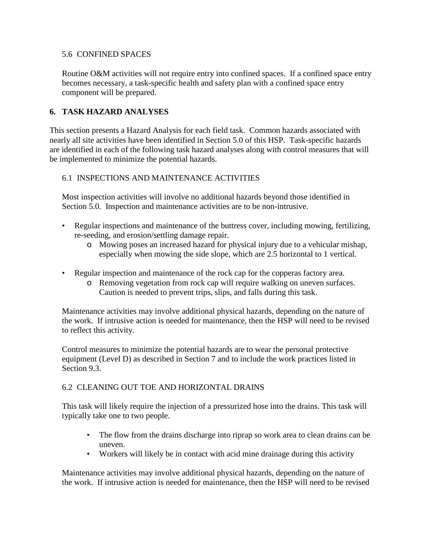### 5.6 CONFINED SPACES

Routine O&M activities will not require entry into confined spaces. If a confined space entry becomes necessary, a task-specific health and safety plan with a confined space entry component will be prepared.

# **6. TASK HAZARD ANALYSES**

This section presents a Hazard Analysis for each field task. Common hazards associated with nearly all site activities have been identified in Section 5.0 of this HSP. Task-specific hazards are identified in each of the following task hazard analyses along with control measures that will be implemented to minimize the potential hazards.

# 6.1 INSPECTIONS AND MAINTENANCE ACTIVITIES

Most inspection activities will involve no additional hazards beyond those identified in Section 5.0. Inspection and maintenance activities are to be non-intrusive.

- Regular inspections and maintenance of the buttress cover, including mowing, fertilizing, re-seeding, and erosion/settling damage repair.
	- o Mowing poses an increased hazard for physical injury due to a vehicular mishap, especially when mowing the side slope, which are 2.5 horizontal to 1 vertical.
- Regular inspection and maintenance of the rock cap for the copperas factory area.
	- o Removing vegetation from rock cap will require walking on uneven surfaces. Caution is needed to prevent trips, slips, and falls during this task.

Maintenance activities may involve additional physical hazards, depending on the nature of the work. If intrusive action is needed for maintenance, then the HSP will need to be revised to reflect this activity.

Control measures to minimize the potential hazards are to wear the personal protective equipment (Level D) as described in Section 7 and to include the work practices listed in Section 9.3.

# 6.2 CLEANING OUT TOE AND HORIZONTAL DRAINS

This task will likely require the injection of a pressurized hose into the drains. This task will typically take one to two people.

- The flow from the drains discharge into riprap so work area to clean drains can be uneven.
- Workers will likely be in contact with acid mine drainage during this activity

Maintenance activities may involve additional physical hazards, depending on the nature of the work. If intrusive action is needed for maintenance, then the HSP will need to be revised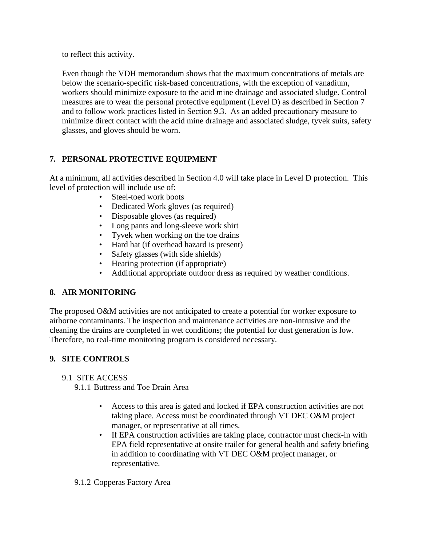to reflect this activity.

Even though the VDH memorandum shows that the maximum concentrations of metals are below the scenario-specific risk-based concentrations, with the exception of vanadium, workers should minimize exposure to the acid mine drainage and associated sludge. Control measures are to wear the personal protective equipment (Level D) as described in Section 7 and to follow work practices listed in Section 9.3. As an added precautionary measure to minimize direct contact with the acid mine drainage and associated sludge, tyvek suits, safety glasses, and gloves should be worn.

# **7. PERSONAL PROTECTIVE EQUIPMENT**

At a minimum, all activities described in Section 4.0 will take place in Level D protection. This level of protection will include use of:

- Steel-toed work boots
- Dedicated Work gloves (as required)
- Disposable gloves (as required)
- Long pants and long-sleeve work shirt
- Tyvek when working on the toe drains
- Hard hat (if overhead hazard is present)
- Safety glasses (with side shields)
- Hearing protection (if appropriate)
- Additional appropriate outdoor dress as required by weather conditions.

# **8. AIR MONITORING**

The proposed O&M activities are not anticipated to create a potential for worker exposure to airborne contaminants. The inspection and maintenance activities are non-intrusive and the cleaning the drains are completed in wet conditions; the potential for dust generation is low. Therefore, no real-time monitoring program is considered necessary.

# **9. SITE CONTROLS**

# 9.1 SITE ACCESS

9.1.1 Buttress and Toe Drain Area

- Access to this area is gated and locked if EPA construction activities are not taking place. Access must be coordinated through VT DEC O&M project manager, or representative at all times.
- If EPA construction activities are taking place, contractor must check-in with EPA field representative at onsite trailer for general health and safety briefing in addition to coordinating with VT DEC O&M project manager, or representative.

# 9.1.2 Copperas Factory Area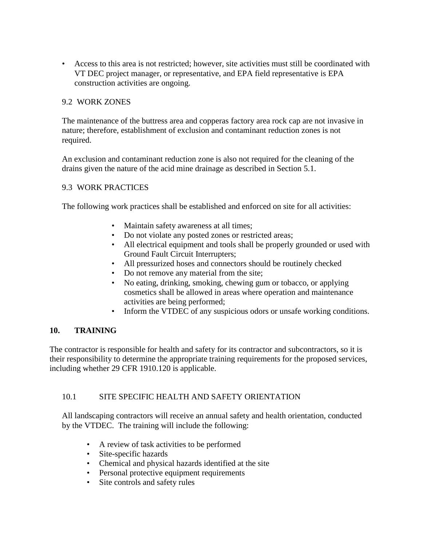• Access to this area is not restricted; however, site activities must still be coordinated with VT DEC project manager, or representative, and EPA field representative is EPA construction activities are ongoing.

### 9.2 WORK ZONES

The maintenance of the buttress area and copperas factory area rock cap are not invasive in nature; therefore, establishment of exclusion and contaminant reduction zones is not required.

An exclusion and contaminant reduction zone is also not required for the cleaning of the drains given the nature of the acid mine drainage as described in Section 5.1.

### 9.3 WORK PRACTICES

The following work practices shall be established and enforced on site for all activities:

- Maintain safety awareness at all times;
- Do not violate any posted zones or restricted areas;
- All electrical equipment and tools shall be properly grounded or used with Ground Fault Circuit Interrupters;
- All pressurized hoses and connectors should be routinely checked
- Do not remove any material from the site;
- No eating, drinking, smoking, chewing gum or tobacco, or applying cosmetics shall be allowed in areas where operation and maintenance activities are being performed;
- Inform the VTDEC of any suspicious odors or unsafe working conditions.

# **10. TRAINING**

The contractor is responsible for health and safety for its contractor and subcontractors, so it is their responsibility to determine the appropriate training requirements for the proposed services, including whether 29 CFR 1910.120 is applicable.

#### 10.1 SITE SPECIFIC HEALTH AND SAFETY ORIENTATION

All landscaping contractors will receive an annual safety and health orientation, conducted by the VTDEC. The training will include the following:

- A review of task activities to be performed
- Site-specific hazards
- Chemical and physical hazards identified at the site
- Personal protective equipment requirements
- Site controls and safety rules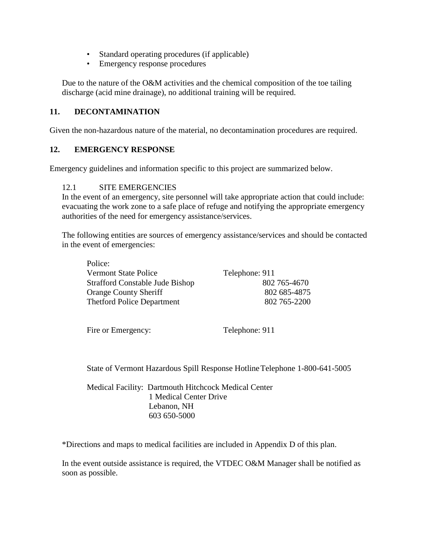- Standard operating procedures (if applicable)
- Emergency response procedures

Due to the nature of the O&M activities and the chemical composition of the toe tailing discharge (acid mine drainage), no additional training will be required.

### **11. DECONTAMINATION**

Given the non-hazardous nature of the material, no decontamination procedures are required.

#### **12. EMERGENCY RESPONSE**

Emergency guidelines and information specific to this project are summarized below.

#### 12.1 SITE EMERGENCIES

In the event of an emergency, site personnel will take appropriate action that could include: evacuating the work zone to a safe place of refuge and notifying the appropriate emergency authorities of the need for emergency assistance/services.

The following entities are sources of emergency assistance/services and should be contacted in the event of emergencies:

| Police:                                |                |
|----------------------------------------|----------------|
| <b>Vermont State Police</b>            | Telephone: 911 |
| <b>Strafford Constable Jude Bishop</b> | 802 765-4670   |
| <b>Orange County Sheriff</b>           | 802 685-4875   |
| <b>Thetford Police Department</b>      | 802 765-2200   |
|                                        |                |

Fire or Emergency: Telephone: 911

 $\mathbf{P}$ 

State of Vermont Hazardous Spill Response Hotline Telephone 1-800-641-5005

Medical Facility: Dartmouth Hitchcock Medical Center 1 Medical Center Drive Lebanon, NH 603 650-5000

\*Directions and maps to medical facilities are included in Appendix D of this plan.

In the event outside assistance is required, the VTDEC O&M Manager shall be notified as soon as possible.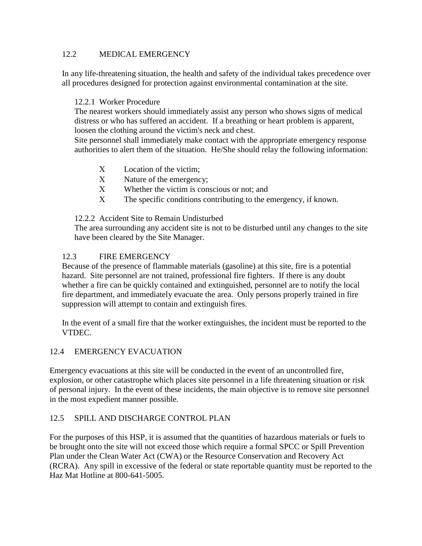### 12.2 MEDICAL EMERGENCY

In any life-threatening situation, the health and safety of the individual takes precedence over all procedures designed for protection against environmental contamination at the site.

### 12.2.1 Worker Procedure

The nearest workers should immediately assist any person who shows signs of medical distress or who has suffered an accident. If a breathing or heart problem is apparent, loosen the clothing around the victim's neck and chest.

Site personnel shall immediately make contact with the appropriate emergency response authorities to alert them of the situation. He/She should relay the following information:

- Χ Location of the victim;
- Χ Nature of the emergency;
- Χ Whether the victim is conscious or not; and
- Χ The specific conditions contributing to the emergency, if known.

### 12.2.2 Accident Site to Remain Undisturbed

The area surrounding any accident site is not to be disturbed until any changes to the site have been cleared by the Site Manager.

# 12.3 FIRE EMERGENCY

Because of the presence of flammable materials (gasoline) at this site, fire is a potential hazard. Site personnel are not trained, professional fire fighters. If there is any doubt whether a fire can be quickly contained and extinguished, personnel are to notify the local fire department, and immediately evacuate the area. Only persons properly trained in fire suppression will attempt to contain and extinguish fires.

In the event of a small fire that the worker extinguishes, the incident must be reported to the VTDEC.

# 12.4 EMERGENCY EVACUATION

Emergency evacuations at this site will be conducted in the event of an uncontrolled fire, explosion, or other catastrophe which places site personnel in a life threatening situation or risk of personal injury. In the event of these incidents, the main objective is to remove site personnel in the most expedient manner possible.

# 12.5 SPILL AND DISCHARGE CONTROL PLAN

For the purposes of this HSP, it is assumed that the quantities of hazardous materials or fuels to be brought onto the site will not exceed those which require a formal SPCC or Spill Prevention Plan under the Clean Water Act (CWA) or the Resource Conservation and Recovery Act (RCRA). Any spill in excessive of the federal or state reportable quantity must be reported to the Haz Mat Hotline at 800-641-5005.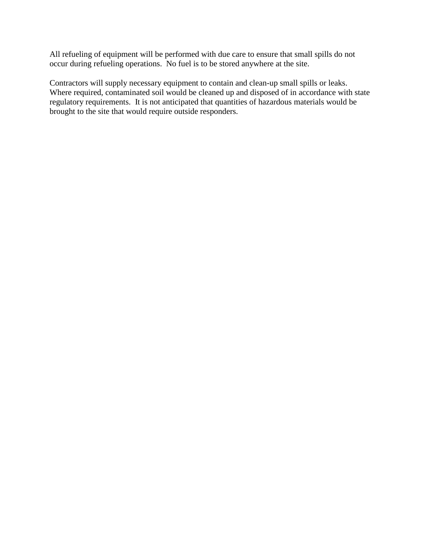All refueling of equipment will be performed with due care to ensure that small spills do not occur during refueling operations. No fuel is to be stored anywhere at the site.

Contractors will supply necessary equipment to contain and clean-up small spills or leaks. Where required, contaminated soil would be cleaned up and disposed of in accordance with state regulatory requirements. It is not anticipated that quantities of hazardous materials would be brought to the site that would require outside responders.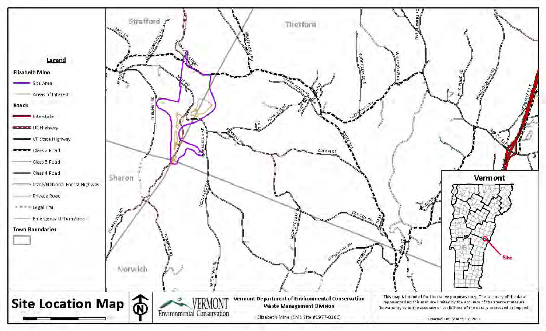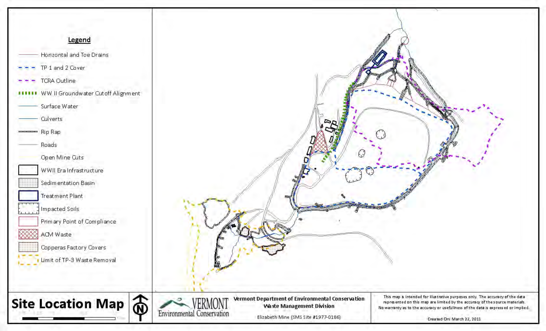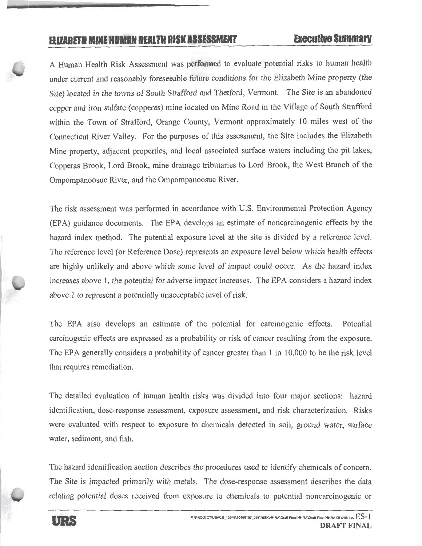# ELIZABETH MINE HUMAN HEALTH RISK ASSESSMENT

A Human Health Risk Assessment was performed to evaluate potential risks to human health under current and reasonably foreseeable future conditions for the Elizabeth Mine property (the Site) located in the towns of South Strafford and Thetford, Vermont. The Site is an abandoned copper and iron sulfate (copperas) mine located on Mine Road in the Village of South Strafford within the Town of Strafford, Orange County, Vermont approximately 10 miles west of the Connecticut River Valley. For the purposes of this assessment, the Site includes the Elizabeth Mine property, adjacent properties, and local associated surface waters including the pit lakes, Copperas Brook, Lord Brook, mine drainage tributaries to Lord Brook, the West Branch of the Ompompanoosuc River, and the Ompompanoosuc River.

The risk assessment was performed in accordance with U.S. Environmental Protection Agency (EPA) guidance documents. The EPA develops an estimate of noncarcinogenic effects by the hazard index method. The potential exposure level at the site is divided by a reference level. The reference level (or Reference Dose) represents an exposure level below which health effects are highly unlikely and above which some level of impact could occur. As the hazard index increases above 1, the potential for adverse impact increases. The EPA considers a hazard index above 1 to represent a potentially unacceptable level of risk.

The EPA also develops an estimate of the potential for carcinogenic effects. Potential carcinogenic effects are expressed as a probability or risk of cancer resulting from the exposure. The EPA generally considers a probability of cancer greater than 1 in 10,000 to be the risk level that requires remediation.

The detailed evaluation of human health risks was divided into four major sections: hazard identification, dose-response assessment, exposure assessment, and risk characterization. Risks were evaluated with respect to exposure to chemicals detected in soil, ground water, surface water, sediment, and fish.

The hazard identification section describes the procedures used to identify chemicals of concern. The Site is impacted primarily with metals. The dose-response assessment describes the data relating potential doses received from exposure to chemicals to potential noncarcinogenic or

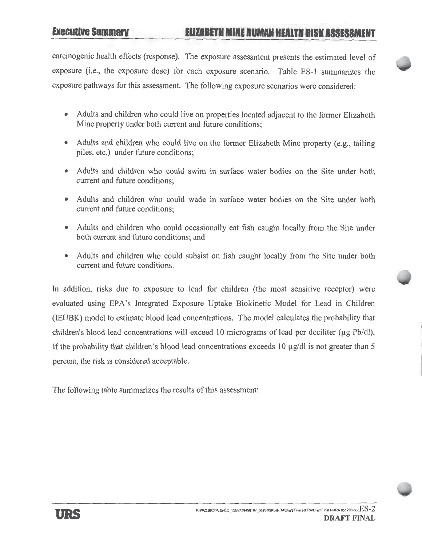carcinogenic health effects (response). The exposure assessment presents the estimated level of exposure (i.e., the exposure dose) for each exposure scenario. Table ES-1 summarizes the exposure pathways for this assessment. The following exposure scenarios were considered:

- Adults and children who could live on properties located adjacent to the former Elizabeth Mine property under both current and future conditions:
- Adults and children who could live on the former Elizabeth Mine property (e.g., tailing piles, etc.) under future conditions;
- Adults and children who could swim in surface water bodies on the Site under both current and future conditions:
- Adults and children who could wade in surface water bodies on the Site under both current and future conditions:
- Adults and children who could occasionally eat fish caught locally from the Site under both current and future conditions; and
- Adults and children who could subsist on fish caught locally from the Site under both current and future conditions.

In addition, risks due to exposure to lead for children (the most sensitive receptor) were evaluated using EPA's Integrated Exposure Uptake Biokinetic Model for Lead in Children (IEUBK) model to estimate blood lead concentrations. The model calculates the probability that children's blood lead concentrations will exceed 10 micrograms of lead per deciliter ( $\mu$ g Pb/dl). If the probability that children's blood lead concentrations exceeds 10  $\mu$ g/dl is not greater than 5 percent, the risk is considered acceptable.

The following table summarizes the results of this assessment: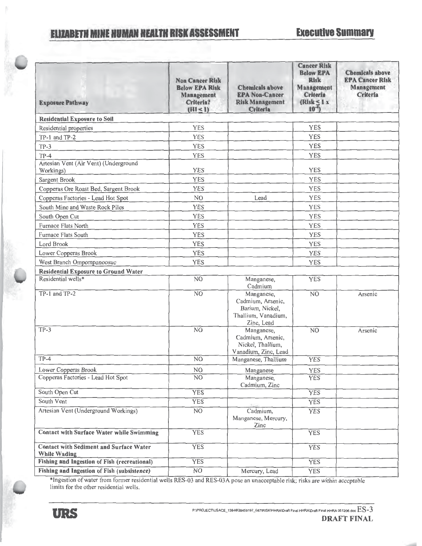# **ELIZABETH MINE HUMAN HEALTH RISK ASSESSMENT**

| <b>Exposure Pathway</b>                                        | <b>Non Cancer Risk</b><br><b>Below EPA Risk</b><br>Management<br>Criteria?<br>(HI < 1) | <b>Chemicals above</b><br><b>EPA Non-Cancer</b><br><b>Risk Management</b><br><b>Criteria</b> | <b>Cancer Risk</b><br><b>Below EPA</b><br><b>Risk</b><br>Management<br>Criteria<br>(Risk $\leq$ 1 x<br>$10^{-4}$ | <b>Chemicals above</b><br><b>EPA Cancer Risk</b><br>Management<br>Criteria |
|----------------------------------------------------------------|----------------------------------------------------------------------------------------|----------------------------------------------------------------------------------------------|------------------------------------------------------------------------------------------------------------------|----------------------------------------------------------------------------|
| <b>Residential Exposure to Soil</b>                            |                                                                                        |                                                                                              |                                                                                                                  |                                                                            |
| Residential properties                                         | <b>YES</b>                                                                             |                                                                                              | <b>YES</b>                                                                                                       |                                                                            |
| TP-1 and TP-2                                                  | <b>YES</b>                                                                             |                                                                                              | <b>YES</b>                                                                                                       |                                                                            |
| $TP-3$                                                         | <b>YES</b>                                                                             |                                                                                              | <b>YES</b>                                                                                                       |                                                                            |
| $TP-4$                                                         | YES                                                                                    |                                                                                              | <b>YES</b>                                                                                                       |                                                                            |
| Artesian Vent (Air Vent) (Underground<br>Workings)             | <b>YES</b>                                                                             |                                                                                              | <b>YES</b>                                                                                                       |                                                                            |
| Sargent Brook                                                  | YES                                                                                    |                                                                                              | <b>YES</b>                                                                                                       |                                                                            |
| Copperas Ore Roast Bed, Sargent Brook                          | <b>YES</b>                                                                             |                                                                                              | YES                                                                                                              |                                                                            |
| Copperas Factories - Lead Hot Spot                             | N <sub>O</sub>                                                                         | Lead                                                                                         | YES                                                                                                              |                                                                            |
| South Mine and Waste Rock Piles                                | <b>YES</b>                                                                             |                                                                                              | <b>YES</b>                                                                                                       |                                                                            |
| South Open Cut                                                 | <b>YES</b>                                                                             |                                                                                              | <b>YES</b>                                                                                                       |                                                                            |
| Furnace Flats North                                            | <b>YES</b>                                                                             |                                                                                              | YES                                                                                                              |                                                                            |
| Furnace Flats South                                            | <b>YES</b>                                                                             |                                                                                              | <b>YES</b>                                                                                                       |                                                                            |
| Lord Brook                                                     | <b>YES</b>                                                                             |                                                                                              | <b>YES</b>                                                                                                       |                                                                            |
| Lower Copperas Brook                                           | <b>YES</b>                                                                             |                                                                                              | YES                                                                                                              |                                                                            |
| West Branch Ompompanoosuc                                      | YES                                                                                    |                                                                                              | <b>YES</b>                                                                                                       |                                                                            |
| <b>Residential Exposure to Ground Water</b>                    |                                                                                        |                                                                                              |                                                                                                                  |                                                                            |
| Residential wells*                                             | NO                                                                                     | Manganese,<br>Cadmium                                                                        | <b>YES</b>                                                                                                       |                                                                            |
| TP-1 and TP-2                                                  | $\overline{NO}$                                                                        | Manganese,<br>Cadmium, Arsenic,<br>Barium, Nickel,<br>Thallium, Vanadium,<br>Zinc, Lead      | N <sub>O</sub>                                                                                                   | Arsenic                                                                    |
| $TP-3$                                                         | N <sub>O</sub>                                                                         | Manganese,<br>Cadmium, Arsenic,<br>Nickel, Thallium,<br>Vanadium, Zinc, Lead                 | N <sub>O</sub>                                                                                                   | Arsenic                                                                    |
| $TP-4$                                                         | NO                                                                                     | Manganese, Thallium                                                                          | <b>YES</b>                                                                                                       |                                                                            |
| Lower Copperas Brook                                           | $\rm NO$                                                                               | Manganese                                                                                    | YES                                                                                                              |                                                                            |
| Copperas Factories - Lead Hot Spot                             | NO.                                                                                    | Manganese,<br>Cadmium, Zinc                                                                  | <b>YES</b>                                                                                                       |                                                                            |
| South Open Cut                                                 | <b>YES</b>                                                                             |                                                                                              | <b>YES</b>                                                                                                       |                                                                            |
| South Vent                                                     | <b>YES</b>                                                                             |                                                                                              | <b>YES</b>                                                                                                       |                                                                            |
| Artesian Vent (Underground Workings)                           | N <sub>O</sub>                                                                         | Cadmium,<br>Manganese, Mercury,<br>Zinc                                                      | <b>YES</b>                                                                                                       |                                                                            |
| <b>Contact with Surface Water while Swimming</b>               | <b>YES</b>                                                                             |                                                                                              | <b>YES</b>                                                                                                       |                                                                            |
| <b>Contact with Sediment and Surface Water</b><br>While Wading | <b>YES</b>                                                                             |                                                                                              | <b>YES</b>                                                                                                       |                                                                            |
| Fishing and Ingestion of Fish (recreational)                   | <b>YES</b>                                                                             |                                                                                              | <b>YES</b>                                                                                                       |                                                                            |
| <b>Fishing and Ingestion of Fish (subsistence)</b>             | NO                                                                                     | Mercury, Lead                                                                                | <b>YES</b>                                                                                                       |                                                                            |

\*Ingestion of water from former residential wells RES-03 and RES-03A pose an unacceptable risk; risks are within acceptable limits for the other residential wells.

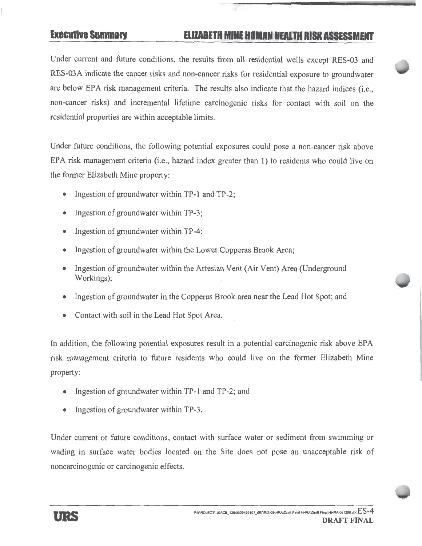# **Executive Summary**

# ELIZABETH MINE HUMAN HEALTH RISK ASSESSMENT

Under current and future conditions, the results from all residential wells except RES-03 and RES-03A indicate the cancer risks and non-cancer risks for residential exposure to groundwater are below EPA risk management criteria. The results also indicate that the hazard indices (i.e., non-cancer risks) and incremental lifetime carcinogenic risks for contact with soil on the residential properties are within acceptable limits.

Under future conditions, the following potential exposures could pose a non-cancer risk above EPA risk management criteria (i.e., hazard index greater than 1) to residents who could live on the former Elizabeth Mine property:

- Ingestion of groundwater within TP-1 and TP-2;  $\bullet$
- Ingestion of groundwater within TP-3;
- Ingestion of groundwater within TP-4:
- Ingestion of groundwater within the Lower Copperas Brook Area;
- Ingestion of groundwater within the Artesian Vent (Air Vent) Area (Underground Workings);
- Ingestion of groundwater in the Copperas Brook area near the Lead Hot Spot; and
- Contact with soil in the Lead Hot Spot Area.

In addition, the following potential exposures result in a potential carcinogenic risk above EPA risk management criteria to future residents who could live on the former Elizabeth Mine property:

- Ingestion of groundwater within TP-1 and TP-2; and
- Ingestion of groundwater within TP-3.  $\bullet$

Under current or future conditions, contact with surface water or sediment from swimming or wading in surface water bodies located on the Site does not pose an unacceptable risk of noncarcinogenic or carcinogenic effects.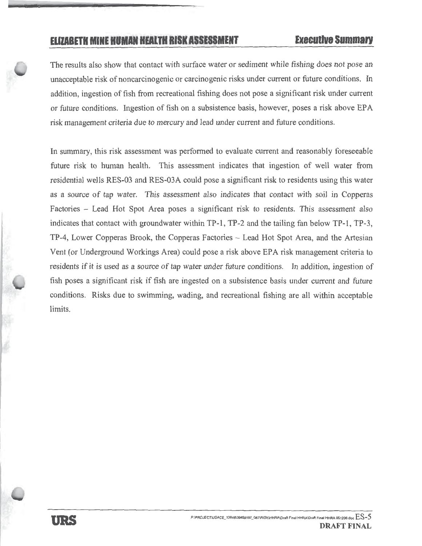# ELIZABETH MINE HUMAN HEALTH RISK ASSESSMENT

The results also show that contact with surface water or sediment while fishing does not pose an unacceptable risk of noncarcinogenic or carcinogenic risks under current or future conditions. In addition, ingestion of fish from recreational fishing does not pose a significant risk under current or future conditions. Ingestion of fish on a subsistence basis, however, poses a risk above EPA risk management criteria due to mercury and lead under current and future conditions.

In summary, this risk assessment was performed to evaluate current and reasonably foreseeable future risk to human health. This assessment indicates that ingestion of well water from residential wells RES-03 and RES-03A could pose a significant risk to residents using this water as a source of tap water. This assessment also indicates that contact with soil in Copperas Factories – Lead Hot Spot Area poses a significant risk to residents. This assessment also indicates that contact with groundwater within TP-1, TP-2 and the tailing fan below TP-1, TP-3, TP-4, Lower Copperas Brook, the Copperas Factories – Lead Hot Spot Area, and the Artesian Vent (or Underground Workings Area) could pose a risk above EPA risk management criteria to residents if it is used as a source of tap water under future conditions. In addition, ingestion of fish poses a significant risk if fish are ingested on a subsistence basis under current and future conditions. Risks due to swimming, wading, and recreational fishing are all within acceptable limits.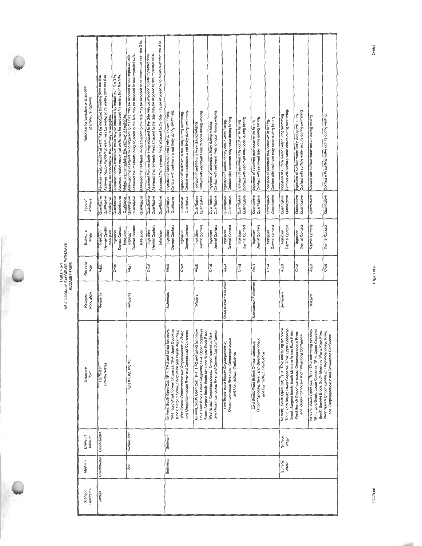| SELECTION OF EXPOSURE PATHWAY<br>ELIZABETH MINE<br>TABLE ES-1 |
|---------------------------------------------------------------|
|                                                               |

ý,

| Rationale for Selection or Exclusion<br>of Exposure Pathway | Assumes nearby residential wells may be impacted by metals from the Site.<br>Assumes nearby residential wells may be impacted by metals from the Site<br>Metals are non-volatile, this pathway is negligible. | Assumes nearby residential wells may be impacted by metals from the Site.<br>Assumes nearby residential wells may be impacted by metals from the Site<br>Metals are non-volatile, this pathway is negligible. | Assumed that residents living adjacent to the Site may be exposed to site impacted soils.<br>Assumed that residents living adjacent to the Site may be exposed to site impacted soils | Assumed that residents living adjacent to the Site may be exposed wind-blown dust from the Site. | Assumed that residents iiving adjacent to the Site may be exposed to site impacted soils.<br>Assumed that residents fring adjacent to the Site may be exposed to site impacted soils. | Assumed that residents living adjacent to the Site may be exposed wind-blown dust from the Site. | Contact with sediment is not likely during swimming.<br>Ingestion of sediment is not likely during swimming                                                                    | Contact with sediment is not likely during swimming.<br>Ingestion of sediment is not likely duning swimming. | Contact with sediment likely to occur during wading<br>Ingestion of sediment is likely during wading.                                                                             | Contact with sediment likely to occur during wading.<br>Ingestion of sediment is likely during wading.   | Contact with sediment may occur during fishing<br>Ingestion of sediment may occur while fishing                | Contact with sediment may occur during fishing.<br>Ingestion of sediment may occur while fishing. | Contact with sediment may occur during fishing.<br>Ingestion of sediment may occur while fishing.              | Contact with sediment may occur during fishing<br>Ingestion of sediment may occur while fishing. | Contact with surface water occurs dunng swimming.<br>Ingestion of surface water likely during swimming                                                                         | Contact with surface water occurs during swimming<br>Ingestion of surface water likely during swimming. | Contact with surface water occurs during wading                                                                                                                                | Contact with surface water occurs during wading.                                                |
|-------------------------------------------------------------|---------------------------------------------------------------------------------------------------------------------------------------------------------------------------------------------------------------|---------------------------------------------------------------------------------------------------------------------------------------------------------------------------------------------------------------|---------------------------------------------------------------------------------------------------------------------------------------------------------------------------------------|--------------------------------------------------------------------------------------------------|---------------------------------------------------------------------------------------------------------------------------------------------------------------------------------------|--------------------------------------------------------------------------------------------------|--------------------------------------------------------------------------------------------------------------------------------------------------------------------------------|--------------------------------------------------------------------------------------------------------------|-----------------------------------------------------------------------------------------------------------------------------------------------------------------------------------|----------------------------------------------------------------------------------------------------------|----------------------------------------------------------------------------------------------------------------|---------------------------------------------------------------------------------------------------|----------------------------------------------------------------------------------------------------------------|--------------------------------------------------------------------------------------------------|--------------------------------------------------------------------------------------------------------------------------------------------------------------------------------|---------------------------------------------------------------------------------------------------------|--------------------------------------------------------------------------------------------------------------------------------------------------------------------------------|-------------------------------------------------------------------------------------------------|
| Type of<br>Analysis                                         | Quantitative<br>Quantitative<br>Qualitative                                                                                                                                                                   | Quantitative<br>Quantitative<br>Qualitative                                                                                                                                                                   | Quantitative<br>Quantitative                                                                                                                                                          | Quantitativa                                                                                     | Quantitative<br>Quantitative                                                                                                                                                          | Quantitative                                                                                     | Qualitative<br>Qualitative                                                                                                                                                     | Qualitative<br>Qualitative                                                                                   | Quantitative<br>Quantitative                                                                                                                                                      | Quantitative<br>Quantitative                                                                             | Quantitative<br>Quantitative                                                                                   | Quantitative<br>Quantitative                                                                      | Quantitative<br>Quantitative                                                                                   | Quantitative<br>Quantitative                                                                     | Quantitative<br>Quantitative                                                                                                                                                   | Quanttative<br>Quantitative                                                                             | Quantitative                                                                                                                                                                   | Quantitative                                                                                    |
| Exposure<br>Route                                           | Dermail Contact<br>Inhalation<br>ngestion                                                                                                                                                                     | Dermal Contact<br>Inhalation<br>Ingestion                                                                                                                                                                     | Dermal Contact<br>Ingestion                                                                                                                                                           | Inhalation                                                                                       | Dermal Contact<br>Ingestion                                                                                                                                                           | Inhalation                                                                                       | Dermal Contact<br>Ingestion                                                                                                                                                    | Dermal Contact<br>Ingestion                                                                                  | Dermal Contact<br>Ingestion                                                                                                                                                       | Dermal Contact<br>Ingestion                                                                              | Dermai Contact<br>Ingestion                                                                                    | Dermal Contact<br>Ingestion                                                                       | Dermal Contact<br>Ingestion                                                                                    | Dermal Contact<br>Ingestion                                                                      | Dermal Contact<br>Ingestion                                                                                                                                                    | Dermal Contact<br>Ingestion                                                                             | Dermal Contact                                                                                                                                                                 | Dermal Contact                                                                                  |
| Receptor<br>Age                                             | Adult                                                                                                                                                                                                         | Child                                                                                                                                                                                                         | Adult                                                                                                                                                                                 |                                                                                                  | Child                                                                                                                                                                                 |                                                                                                  | Adult                                                                                                                                                                          | Child                                                                                                        | Adult                                                                                                                                                                             | Child                                                                                                    | Adult                                                                                                          | Child                                                                                             | Adult                                                                                                          | Child                                                                                            | Adult                                                                                                                                                                          | Child                                                                                                   | Adult                                                                                                                                                                          | Child                                                                                           |
| Population<br>Receptor                                      | Residents                                                                                                                                                                                                     |                                                                                                                                                                                                               | Residents                                                                                                                                                                             |                                                                                                  |                                                                                                                                                                                       |                                                                                                  | Swimmers                                                                                                                                                                       |                                                                                                              | Waders                                                                                                                                                                            |                                                                                                          | Recreational Fishermen                                                                                         |                                                                                                   | Subsistence Fishermen                                                                                          |                                                                                                  | Swimmers                                                                                                                                                                       |                                                                                                         | Waders                                                                                                                                                                         |                                                                                                 |
| Exposure<br>Point                                           | (Private Wells)<br>Tap Water                                                                                                                                                                                  |                                                                                                                                                                                                               | Lots #1, #2, and #3                                                                                                                                                                   |                                                                                                  |                                                                                                                                                                                       |                                                                                                  | TP-1; Lord Brook; Lower Copperas; TP-4; Upper Copperas<br>Air Vent; South Open Cut; TP-1; TP-2 and tailing fan below<br>Brook; Sargent Brook; South Mine and Waste Rock Piles; | and Ompompanoosuc River and Connecticut Confluence<br>River.<br>West Branch Ompompanoosuc; Ompompanoosuc     | TP-1; Lord Brook; Lower Copperas; TP-4; Upper Copperas<br>Air Vent: South Open Cut: TP-1; TP-2 and tailing fan below<br>Piles;<br>Brook; Sargent Brook; South Mine and Waste Rock | River:<br>and Ompompanoosuc River and Connecticut Confluence<br>West Branch Ompompanoosuc; Ompompanoosuc | Ompompanoosuc River, and Ompompanoosuc<br>Lord Brook; West Branch Ompompanoosuc;<br>and Connecticut Confluence |                                                                                                   | Ompompanoosuc River, and Ompompanoosuc<br>Lord Brook; West Branch Ompompanoosuc;<br>and Connecticut Confluence |                                                                                                  | Air Vent, South Open Cut, TP-1, TP-2 and tailing fan below<br>TP-1; Lord Brook; Lower Copperas; TP-4; Upper Copperas<br>Brook; Sargent Brook; South Mine and Waste Rock Piles; | West Branch Ompompanoosuc; Ompompanoosuc River;<br>and Ompompanoosuc and Connecticut Confluence         | Air Vent; South Open Cut; TP-1; TP-2 and tailing fan below<br>TP-1: Lord Brook; Lower Copperas; TP-4; Upper Copperas<br>Brook: Sargent Brook; South Mine and Waste Rock Piles; | West Branch Ompompanoosuc; Ompompanoosuc River;<br>and Ompompanoosuc and Connecticut Confluence |
| Exposure<br>Medium                                          | Groundwater                                                                                                                                                                                                   |                                                                                                                                                                                                               | Surface Soil                                                                                                                                                                          |                                                                                                  |                                                                                                                                                                                       |                                                                                                  | Sediment                                                                                                                                                                       |                                                                                                              |                                                                                                                                                                                   |                                                                                                          |                                                                                                                |                                                                                                   |                                                                                                                |                                                                                                  | Surface<br>Water                                                                                                                                                               |                                                                                                         |                                                                                                                                                                                |                                                                                                 |
| Medium                                                      | Groundwater                                                                                                                                                                                                   |                                                                                                                                                                                                               | Soil                                                                                                                                                                                  |                                                                                                  |                                                                                                                                                                                       |                                                                                                  | Sediment                                                                                                                                                                       |                                                                                                              |                                                                                                                                                                                   |                                                                                                          |                                                                                                                |                                                                                                   |                                                                                                                |                                                                                                  | Surface<br>Water                                                                                                                                                               |                                                                                                         |                                                                                                                                                                                |                                                                                                 |
| Timeframe<br>Scenano                                        | Current                                                                                                                                                                                                       |                                                                                                                                                                                                               |                                                                                                                                                                                       |                                                                                                  |                                                                                                                                                                                       |                                                                                                  |                                                                                                                                                                                |                                                                                                              |                                                                                                                                                                                   |                                                                                                          |                                                                                                                |                                                                                                   |                                                                                                                |                                                                                                  |                                                                                                                                                                                |                                                                                                         |                                                                                                                                                                                |                                                                                                 |

Page 1 of 4

Table1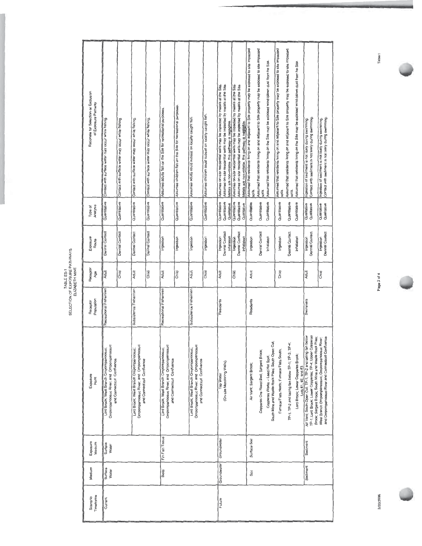| Rationale for Selection or Exclusion<br>of Exposure Pathway | Contact with surface water may occur while fishing.                                                            | Contact with surface water may occur while fishing. | Contact with surface water may occur while fishing.                                                            | Contact with surface water may occur while fishing. | Assumes adults fish on the Site for recreational purposes                                                      | Assumes children fish on the Site for recreational purposes. | Assumes adults could subsist on locally caught fish                                                            | Assumes children could subsist on locally caught fish. | Assumes on-site residential wells may be impacted by metals at the Site. | Assumes on-site residential wells may be impacted by metals at the Site.<br>Metals are non-volatile, this pathway is negligible. | Assumes on-site residential wells may be impacted by metals at the Site. | Assumes on-site residential wells may be impacted by melals at the Site.<br>Metals are non-volatile, this pathway is negligible. | Assumed that residents living on and adjacent to Site property may be exposed to site impacted<br>soils. | Assumed that residents living on and adjacent to Site properly may be exposed to site impacted<br>sois. | Assumed that residents living on the Site may be exposed wind-blown dust from he Site. | Assumed that residents iving on and adjacent to Site property may be exposed to site impacted<br>soils. | Assumed that residents living on and adjacent to Site property may be exposed to site impacted<br>soils. | Assumed that residents living on the Site may be exposed wind-blown dust from he Site. | Contact with sediment is not likely during swimming<br>Ingestion of sediment is not likely during swimming                                                                           | Contact with sediment is not likely during swimming.<br>Ingestion of sediment is not likely dunng swimming. |
|-------------------------------------------------------------|----------------------------------------------------------------------------------------------------------------|-----------------------------------------------------|----------------------------------------------------------------------------------------------------------------|-----------------------------------------------------|----------------------------------------------------------------------------------------------------------------|--------------------------------------------------------------|----------------------------------------------------------------------------------------------------------------|--------------------------------------------------------|--------------------------------------------------------------------------|----------------------------------------------------------------------------------------------------------------------------------|--------------------------------------------------------------------------|----------------------------------------------------------------------------------------------------------------------------------|----------------------------------------------------------------------------------------------------------|---------------------------------------------------------------------------------------------------------|----------------------------------------------------------------------------------------|---------------------------------------------------------------------------------------------------------|----------------------------------------------------------------------------------------------------------|----------------------------------------------------------------------------------------|--------------------------------------------------------------------------------------------------------------------------------------------------------------------------------------|-------------------------------------------------------------------------------------------------------------|
| Analysis<br>Type of                                         | Quantitative                                                                                                   | Quantitative                                        | Quantitative                                                                                                   | Quantitative                                        | Quantitative                                                                                                   | Quantitative                                                 | Quantitative                                                                                                   | Quantitative                                           | Quantitative                                                             | Quantitative<br>Qualitative                                                                                                      | Quantitative                                                             | Quantitative<br>Qualitative                                                                                                      | Quantitative                                                                                             | Quantitative                                                                                            | Quantitative                                                                           | Quantitative                                                                                            | Quantilative                                                                                             | Quantitative                                                                           | Qualitative<br>Qualitative                                                                                                                                                           | Qualitative<br>Qualitative                                                                                  |
| Exposure<br>Route                                           | Dermal Contact                                                                                                 | Dermal Contact                                      | Dermal Contact                                                                                                 | Dermal Contact                                      | Ingestion                                                                                                      | Ingestion                                                    | Ingestion                                                                                                      | Ingestion                                              | Ingestion                                                                | Demal Contact<br>Inhalation                                                                                                      | ngestion                                                                 | Dermal Contact<br>Inhalation                                                                                                     | Ingestion                                                                                                | Dermal Contact                                                                                          | Inhalabon                                                                              | Ingestion                                                                                               | Dermal Contact                                                                                           | Inhalation                                                                             | Dermal Contact<br>Ingestion                                                                                                                                                          | Dermal Contact<br>Ingestion                                                                                 |
| Receptor<br>Age                                             | Adult                                                                                                          | Chrid                                               | Adult                                                                                                          | Child                                               | Adult                                                                                                          | Child                                                        | Adult                                                                                                          | Child                                                  | Adult                                                                    |                                                                                                                                  | Child                                                                    |                                                                                                                                  | Adult                                                                                                    |                                                                                                         |                                                                                        | Child                                                                                                   |                                                                                                          |                                                                                        | Adult                                                                                                                                                                                | Child                                                                                                       |
| Population<br>Receptor                                      | Recreational Fishermen                                                                                         |                                                     | Subsistence Fishermen                                                                                          |                                                     | Recreational Fishermen                                                                                         |                                                              | Subsistence Fishermen                                                                                          |                                                        | Residents                                                                |                                                                                                                                  |                                                                          |                                                                                                                                  | Residents                                                                                                |                                                                                                         |                                                                                        |                                                                                                         |                                                                                                          |                                                                                        | Swimmers                                                                                                                                                                             |                                                                                                             |
| Exposure<br>Point                                           | Ompompanoosuc River, and Ompompanoosuc<br>Lord Brook; West Branch Ompompanoosuc;<br>and Connecticut Confluence |                                                     | Ompompanoosuc River, and Ompompanoosuc<br>Lord Brook; West Branch Ompompanoosuc;<br>and Connecticut Confluence |                                                     | Ompompanoosuc River, and Ompompanoosuc<br>Lord Brook, West Branch Ompompanoosuc,<br>and Connecticut Confluence |                                                              | Ompompanoosuc River, and Ompompanoosuc<br>Lord Brook; West Branch Ompompanoosuc;<br>and Connecticut Confluence |                                                        | Tap Water                                                                | (On-site Monitoring Wells)                                                                                                       |                                                                          |                                                                                                                                  | Air Vent; Sargent Brook;                                                                                 | Copperas Ore Roast Bed; Sargent Brook;                                                                  | South Mine and Waste Rock Piles; South Open Cut;<br>Copperas Works - Lead Hot Spot;    | Furnace Flats North, Furnace Flats South,                                                               | ïP⊣i<br>TP-1: TP-2 and tailing fan below TP-1: TP-3:                                                     | Lord Brook; Lower Copperas Brook;<br>Lots #1, #2, and #3                               | Copperas<br>fan below<br>Brook; Sargent Brook; South Mine and Waste Rock Piles;<br>Air Vent; South Open Cut; TP-1; TP-2 and tailing<br>TP-1; Lord Brook; Lower Copperas; TP-4; Upper | and Ompompanoosuc River and Connecticut Confluence<br>West Branch Ompompanoosuc; Ompompanoosuc River;       |
| Exposure<br>Medium                                          | Surface<br>Water                                                                                               |                                                     |                                                                                                                |                                                     | Fin Fish Tissue                                                                                                |                                                              |                                                                                                                |                                                        | Graundwater                                                              |                                                                                                                                  |                                                                          |                                                                                                                                  | Surface Soil                                                                                             |                                                                                                         |                                                                                        |                                                                                                         |                                                                                                          |                                                                                        | Sediment                                                                                                                                                                             |                                                                                                             |
| Medium                                                      | Surface<br>Water                                                                                               |                                                     |                                                                                                                |                                                     | Biota                                                                                                          |                                                              |                                                                                                                |                                                        | Groundwater                                                              |                                                                                                                                  |                                                                          |                                                                                                                                  | Soil                                                                                                     |                                                                                                         |                                                                                        |                                                                                                         |                                                                                                          |                                                                                        | Sediment                                                                                                                                                                             |                                                                                                             |
| Timeframe<br>Scenario                                       | Current                                                                                                        |                                                     |                                                                                                                |                                                     |                                                                                                                |                                                              |                                                                                                                |                                                        | Future                                                                   |                                                                                                                                  |                                                                          |                                                                                                                                  |                                                                                                          |                                                                                                         |                                                                                        |                                                                                                         |                                                                                                          |                                                                                        |                                                                                                                                                                                      |                                                                                                             |

**SELECTION OF EXPOSURE PATHWAYS<br>SELECTION OF EXPOSURE PATHWAYS** 

Page 2 of 4

3/20/2006

Table1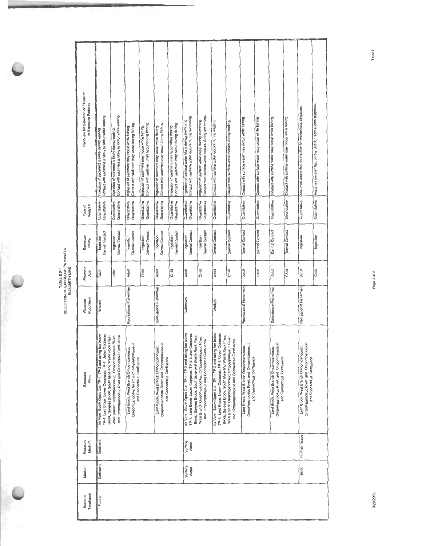| Rationale for Selection or Exclusion<br>of Exposure Pathway | Contact with sediment is likely to occur while wading.<br>Ingestion of sediment is likely during wading.             | Contact with sediment is likely to occur while wading<br>Ingestion of sediment is likely during wading.                                                                                                                                                                                                                                                             | Contact with sediment may occur during fishing<br>Ingestion of sediment may occur while fishing. | Contact with sediment may occur during fishing<br>Ingestion of sediment may occur while fishing. | Contact with sediment may occur during fishing.<br>Ingestion of sediment may occur while fishing. | Contact with sediment may occur during fishing.<br>Ingestion of sediment may occur while fishing                                                                               | Contact with surface water occurs during swimming.<br>Ingestion of surface water likely during swimming. | Contact with surface water occurs during swimming<br>Ingestion of surface water likely during swimming.                                                                        | Contact with surface water occurs during wading.                                                | Contact with surface water occurs during wading.                                                               | Contact with surface water may occur while fishing | Contact with surface water may occur while fishing.                                                            | Contact with surface water may occur while fishing | Contact with surface water may occur while fishing.                                                           | Assumes adults fish on the Site for recreational purposes | Quantitative Assumes children fish on the Site for recreational purposes. |
|-------------------------------------------------------------|----------------------------------------------------------------------------------------------------------------------|---------------------------------------------------------------------------------------------------------------------------------------------------------------------------------------------------------------------------------------------------------------------------------------------------------------------------------------------------------------------|--------------------------------------------------------------------------------------------------|--------------------------------------------------------------------------------------------------|---------------------------------------------------------------------------------------------------|--------------------------------------------------------------------------------------------------------------------------------------------------------------------------------|----------------------------------------------------------------------------------------------------------|--------------------------------------------------------------------------------------------------------------------------------------------------------------------------------|-------------------------------------------------------------------------------------------------|----------------------------------------------------------------------------------------------------------------|----------------------------------------------------|----------------------------------------------------------------------------------------------------------------|----------------------------------------------------|---------------------------------------------------------------------------------------------------------------|-----------------------------------------------------------|---------------------------------------------------------------------------|
| Analysis<br>Type of                                         | Quantitative<br>Quantitalive                                                                                         | Quantitative<br>Quantitative                                                                                                                                                                                                                                                                                                                                        | Quantitative<br>Quantitative                                                                     | Quantitative<br>Quantitative                                                                     | Quantitative<br>Quantitative                                                                      | Quantitative<br>Quantitative                                                                                                                                                   | Quantitative<br>Quantitative                                                                             | Quantitative<br>Quantitative                                                                                                                                                   | Quantitative                                                                                    | Quantitative                                                                                                   | Quanblative                                        | Quantitative                                                                                                   | Quantitative                                       | Quantitative                                                                                                  | Quantitative                                              |                                                                           |
| Exposure<br>Route                                           | Dermal Contact<br>Ingestion                                                                                          | Dermal Contact<br>Ingestion                                                                                                                                                                                                                                                                                                                                         | Dermal Contact<br>Ingestion                                                                      | Demal Contact<br>Ingestion                                                                       | Dermal Contact<br>Ingestion                                                                       | Dermal Contact<br>Ingestion                                                                                                                                                    | Dermal Contact<br>Ingestion                                                                              | Dermal Contact<br>Ingestion                                                                                                                                                    | Dermal Contact                                                                                  | Dermal Contact                                                                                                 | Dermal Contact                                     | Dermal Contact                                                                                                 | Dermal Contact                                     | Dermal Contact                                                                                                | Ingestion                                                 | Ingestion                                                                 |
| Receptor<br>Age                                             | Adult                                                                                                                | Child                                                                                                                                                                                                                                                                                                                                                               | Adult                                                                                            | Child                                                                                            | Adult                                                                                             | Child                                                                                                                                                                          | Adult                                                                                                    | Child                                                                                                                                                                          | Adult                                                                                           | Child                                                                                                          | Adult                                              | B <sub>3</sub>                                                                                                 | Adult                                              | Child                                                                                                         | Adult                                                     | Child                                                                     |
| Population<br>Receptor                                      | Waders                                                                                                               |                                                                                                                                                                                                                                                                                                                                                                     | Recreational Fishermen                                                                           |                                                                                                  | Subsistence Fishermen                                                                             |                                                                                                                                                                                | Swimmers                                                                                                 |                                                                                                                                                                                | Waders                                                                                          |                                                                                                                | Recreational Fishermen                             |                                                                                                                | Subsistence Fishermen                              |                                                                                                               | Recreational Fishermen                                    |                                                                           |
| Exposure<br>Point                                           | Air Vent, South Open Cut, TP-1; TP-2 and tailing fan below<br>TP-1; Lord Brook; Lower Copperas; TP-4; Upper Copperas | Brook; Sargent Brook; South Mine and Waste Rock Piles;<br>and Ompompanoosuc River and Connecticut Confluence<br>West Branch Ompompanoosuc; Ompompanoosuc River,<br>Ompompanoosuc River, and Ompompanoosuc<br>Ompompanoosuc River, and Ompompanoosuc<br>Lord Brook; West Branch Ompompanoosuc<br>Lord Brook, West Branch Ompompanoosuc<br>and Connecticut Confluence |                                                                                                  | and Connecticut Confluence                                                                       |                                                                                                   | Air Vent, South Open Cut; TP-1; TP-2 and tailing fan below<br>TP-1: Lord Brook: Lower Copperas: TP-4: Upper Copperas<br>Brook; Sargent Brook; South Mine and Waste Rock Piles; | West Branch Ompompanoosuc; Ompompanoosuc River,<br>and Ompompanoosuc and Connecticut Comfluence          | Air Vent; South Open Cut; TP-1; TP-2 and tailing fan below<br>TP-1: Lord Brook: Lower Copperas: TP-4: Upper Copperas<br>Brook; Sargent Brook; South Mine and Waste Rock Piles; | West Branch Ompompanoosuc; Ompompanoosuc River;<br>and Ompompanoosuc and Connecticut Confluence | Ompompanoosuc River, and Ompompanoosuc<br>Lord Brook; West Branch Ompompanoosuc;<br>and Connecticut Confluence |                                                    | Ompompanoosuc River, and Ompompanoosuc<br>Lord Brook; West Branch Ompompanoosuc;<br>and Connecticut Confluence |                                                    | Ompompanoosuc River; and Ompompanoosuc<br>Lord Brook; West Branch Ompompanoosuc<br>and Connecticut Confluence |                                                           |                                                                           |
| Exposure<br>Medium                                          | Sediment                                                                                                             |                                                                                                                                                                                                                                                                                                                                                                     |                                                                                                  |                                                                                                  |                                                                                                   |                                                                                                                                                                                | Surtace<br>Water                                                                                         |                                                                                                                                                                                |                                                                                                 |                                                                                                                |                                                    |                                                                                                                |                                                    |                                                                                                               | Fin Fish Tissue                                           |                                                                           |
| Medium                                                      | Sediment                                                                                                             |                                                                                                                                                                                                                                                                                                                                                                     |                                                                                                  |                                                                                                  |                                                                                                   |                                                                                                                                                                                | Surface<br>Water                                                                                         |                                                                                                                                                                                |                                                                                                 |                                                                                                                |                                                    |                                                                                                                |                                                    |                                                                                                               | Biota                                                     |                                                                           |
| Timeframe<br>Scenario                                       | Future                                                                                                               |                                                                                                                                                                                                                                                                                                                                                                     |                                                                                                  |                                                                                                  |                                                                                                   |                                                                                                                                                                                |                                                                                                          |                                                                                                                                                                                |                                                                                                 |                                                                                                                |                                                    |                                                                                                                |                                                    |                                                                                                               |                                                           |                                                                           |

Page 3 of 4

Table1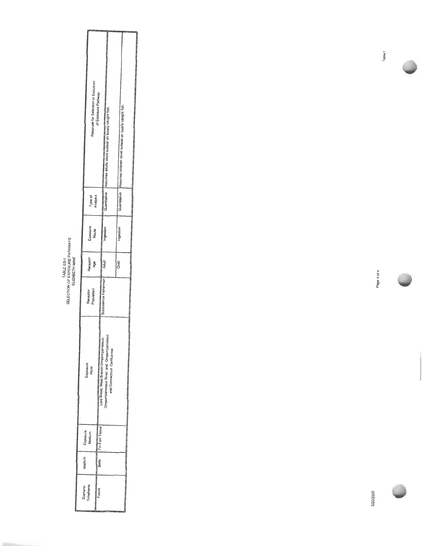TABLE ES-1<br>SELECTION OF EXPOSURE PATHWAYS<br>ELIZABETH MINE

|                      |                    | Rationale for Selection or Exclusion | of Exposure Pathway | Assumes adults could subsist on locally caught fish. |                            | Assumes children could subsist on locally caught fish |  |
|----------------------|--------------------|--------------------------------------|---------------------|------------------------------------------------------|----------------------------|-------------------------------------------------------|--|
|                      |                    | Type of<br>Analysis                  |                     | Quantitative                                         |                            | auantitative                                          |  |
|                      |                    | Exposure<br>Route                    |                     | Ingestion                                            |                            | Ingestion                                             |  |
|                      |                    | Receptor<br>Age                      |                     | Adult                                                |                            | Child                                                 |  |
|                      |                    | Receptor<br>Population               |                     | ubsistence Fishermen                                 |                            |                                                       |  |
|                      | Exposure<br>Point  |                                      |                     | š<br>Ompompanoosuc River, and Ompom-                 | and Connecticut Confluence |                                                       |  |
|                      | Exposure<br>Medium |                                      |                     |                                                      |                            |                                                       |  |
| Medium               |                    |                                      | Biota               |                                                      |                            |                                                       |  |
| Scenano<br>Timeframe |                    |                                      | Future              |                                                      |                            |                                                       |  |

Page 4 of 4

Table<sub>1</sub>

3/20/2006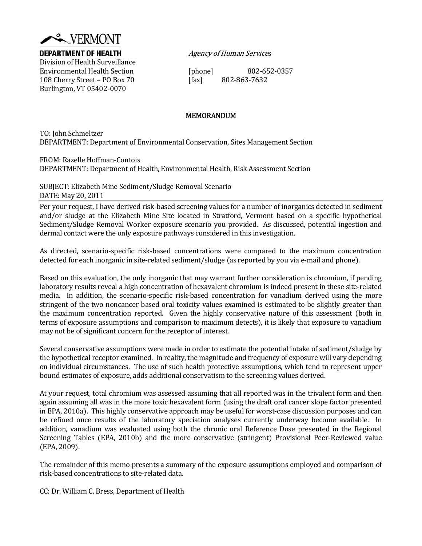

Division of Health Surveillance Environmental Health Section ሾphoneሿ 802‐652‐0357 108 Cherry Street – PO Box 70 ሾfaxሿ 802‐863‐7632 Burlington, VT 05402‐0070

**DEPARTMENT OF HEALTH** Agency of Human Services

#### MEMORANDUM

TO: John Schmeltzer DEPARTMENT: Department of Environmental Conservation, Sites Management Section

FROM: Razelle Hoffman‐Contois

DEPARTMENT: Department of Health, Environmental Health, Risk Assessment Section

SUBJECT: Elizabeth Mine Sediment/Sludge Removal Scenario DATE: May 20, 2011

Per your request, I have derived risk‐based screening values for a number of inorganics detected in sediment and/or sludge at the Elizabeth Mine Site located in Stratford, Vermont based on a specific hypothetical Sediment/Sludge Removal Worker exposure scenario you provided. As discussed, potential ingestion and dermal contact were the only exposure pathways considered in this investigation.

As directed, scenario‐specific risk‐based concentrations were compared to the maximum concentration detected for each inorganic in site-related sediment/sludge (as reported by you via e-mail and phone).

Based on this evaluation, the only inorganic that may warrant further consideration is chromium, if pending laboratory results reveal a high concentration of hexavalent chromium is indeed present in these site‐related media. In addition, the scenario-specific risk-based concentration for vanadium derived using the more stringent of the two noncancer based oral toxicity values examined is estimated to be slightly greater than the maximum concentration reported. Given the highly conservative nature of this assessment (both in terms of exposure assumptions and comparison to maximum detects), it is likely that exposure to vanadium may not be of significant concern for the receptor of interest.

Several conservative assumptions were made in order to estimate the potential intake of sediment/sludge by the hypothetical receptor examined. In reality, the magnitude and frequency of exposure will vary depending on individual circumstances. The use of such health protective assumptions, which tend to represent upper bound estimates of exposure, adds additional conservatism to the screening values derived.

At your request, total chromium was assessed assuming that all reported was in the trivalent form and then again assuming all was in the more toxic hexavalent form (using the draft oral cancer slope factor presented in EPA, 2010a). This highly conservative approach may be useful for worst-case discussion purposes and can be refined once results of the laboratory speciation analyses currently underway become available. In addition, vanadium was evaluated using both the chronic oral Reference Dose presented in the Regional Screening Tables (EPA, 2010b) and the more conservative (stringent) Provisional Peer-Reviewed value  $(EPA, 2009).$ 

The remainder of this memo presents a summary of the exposure assumptions employed and comparison of risk‐based concentrations to site‐related data.

CC: Dr. William C. Bress, Department of Health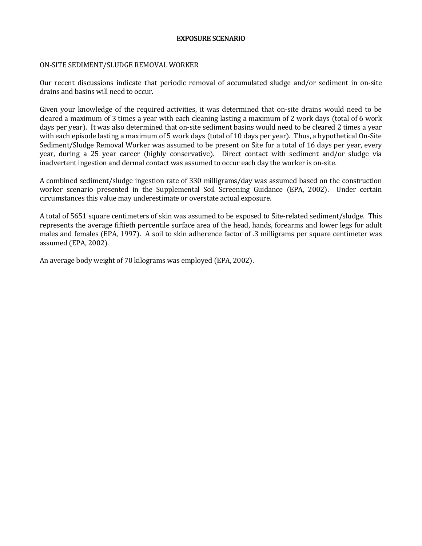#### EXPOSURE SCENARIO

#### ON‐SITE SEDIMENT/SLUDGE REMOVAL WORKER

Our recent discussions indicate that periodic removal of accumulated sludge and/or sediment in on-site drains and basins will need to occur.

Given your knowledge of the required activities, it was determined that on-site drains would need to be cleared a maximum of 3 times a year with each cleaning lasting a maximum of 2 work days (total of  $6$  work days per year). It was also determined that on-site sediment basins would need to be cleared 2 times a year with each episode lasting a maximum of 5 work days (total of 10 days per year). Thus, a hypothetical On-Site Sediment/Sludge Removal Worker was assumed to be present on Site for a total of 16 days per year, every year, during a 25 year career (highly conservative). Direct contact with sediment and/or sludge via inadvertent ingestion and dermal contact was assumed to occur each day the worker is on-site.

A combined sediment/sludge ingestion rate of 330 milligrams/day was assumed based on the construction worker scenario presented in the Supplemental Soil Screening Guidance (EPA, 2002). Under certain circumstances this value may underestimate or overstate actual exposure.

A total of 5651 square centimeters of skin was assumed to be exposed to Site-related sediment/sludge. This represents the average fiftieth percentile surface area of the head, hands, forearms and lower legs for adult males and females (EPA, 1997). A soil to skin adherence factor of .3 milligrams per square centimeter was assumed (EPA, 2002).

An average body weight of 70 kilograms was employed (EPA, 2002).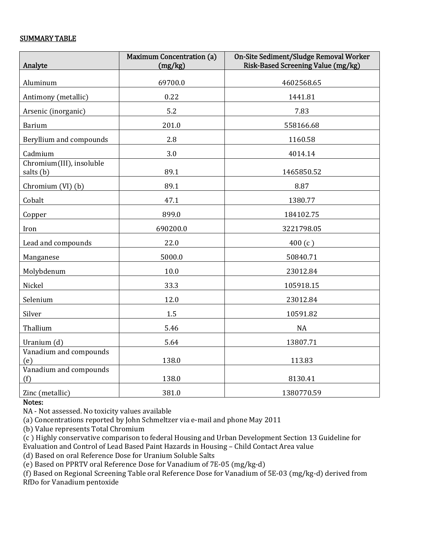#### SUMMARY TABLE

| Analyte                               | <b>Maximum Concentration (a)</b><br>(mg/kg) | On-Site Sediment/Sludge Removal Worker<br>Risk-Based Screening Value (mg/kg) |  |  |  |  |
|---------------------------------------|---------------------------------------------|------------------------------------------------------------------------------|--|--|--|--|
| Aluminum                              | 69700.0                                     | 4602568.65                                                                   |  |  |  |  |
| Antimony (metallic)                   | 0.22                                        | 1441.81                                                                      |  |  |  |  |
| Arsenic (inorganic)                   | 5.2                                         | 7.83                                                                         |  |  |  |  |
| <b>Barium</b>                         | 201.0                                       | 558166.68                                                                    |  |  |  |  |
| Beryllium and compounds               | 2.8                                         | 1160.58                                                                      |  |  |  |  |
| Cadmium                               | 3.0                                         | 4014.14                                                                      |  |  |  |  |
| Chromium(III), insoluble<br>salts (b) | 89.1                                        | 1465850.52                                                                   |  |  |  |  |
| Chromium (VI) (b)                     | 89.1                                        | 8.87                                                                         |  |  |  |  |
| Cobalt                                | 47.1                                        | 1380.77                                                                      |  |  |  |  |
| Copper                                | 899.0                                       | 184102.75                                                                    |  |  |  |  |
| Iron                                  | 690200.0                                    | 3221798.05                                                                   |  |  |  |  |
| Lead and compounds                    | 22.0                                        | 400(c)                                                                       |  |  |  |  |
| Manganese                             | 5000.0                                      | 50840.71                                                                     |  |  |  |  |
| Molybdenum                            | 10.0                                        | 23012.84                                                                     |  |  |  |  |
| Nickel                                | 33.3                                        | 105918.15                                                                    |  |  |  |  |
| Selenium                              | 12.0                                        | 23012.84                                                                     |  |  |  |  |
| Silver                                | 1.5                                         | 10591.82                                                                     |  |  |  |  |
| Thallium                              | 5.46                                        | <b>NA</b>                                                                    |  |  |  |  |
| Uranium (d)                           | 5.64                                        | 13807.71                                                                     |  |  |  |  |
| Vanadium and compounds<br>(e)         | 138.0                                       | 113.83                                                                       |  |  |  |  |
| Vanadium and compounds<br>(f)         | 138.0                                       | 8130.41                                                                      |  |  |  |  |
| Zinc (metallic)                       | 381.0                                       | 1380770.59                                                                   |  |  |  |  |

#### Notes:

NA ‐ Not assessed. No toxicity values available

(a) Concentrations reported by John Schmeltzer via e-mail and phone May 2011

(b) Value represents Total Chromium

(c) Highly conservative comparison to federal Housing and Urban Development Section 13 Guideline for Evaluation and Control of Lead Based Paint Hazards in Housing – Child Contact Area value

(d) Based on oral Reference Dose for Uranium Soluble Salts

(e) Based on PPRTV oral Reference Dose for Vanadium of 7E-05 (mg/kg-d)

(f) Based on Regional Screening Table oral Reference Dose for Vanadium of 5E-03 (mg/kg-d) derived from RfDo for Vanadium pentoxide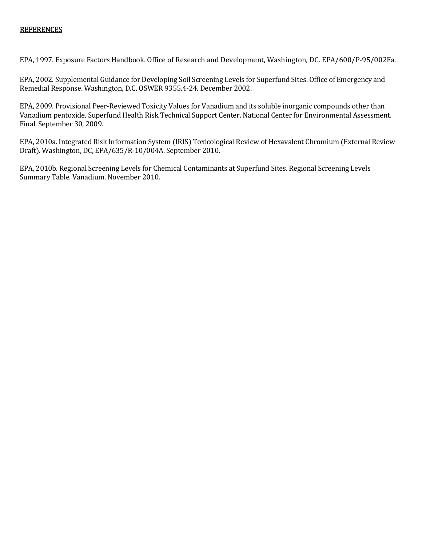#### **REFERENCES**

EPA, 1997. Exposure Factors Handbook. Office of Research and Development, Washington, DC. EPA/600/P‐95/002Fa.

EPA, 2002. Supplemental Guidance for Developing Soil Screening Levels for Superfund Sites. Office of Emergency and Remedial Response. Washington, D.C. OSWER 9355.4‐24. December 2002.

EPA, 2009. Provisional Peer‐Reviewed Toxicity Values for Vanadium and its soluble inorganic compounds other than Vanadium pentoxide. Superfund Health Risk Technical Support Center. National Center for Environmental Assessment. Final. September 30, 2009.

EPA, 2010a. Integrated Risk Information System (IRIS) Toxicological Review of Hexavalent Chromium (External Review Draft). Washington, DC, EPA/635/R-10/004A. September 2010.

EPA, 2010b. Regional Screening Levels for Chemical Contaminants at Superfund Sites. Regional Screening Levels Summary Table. Vanadium. November 2010.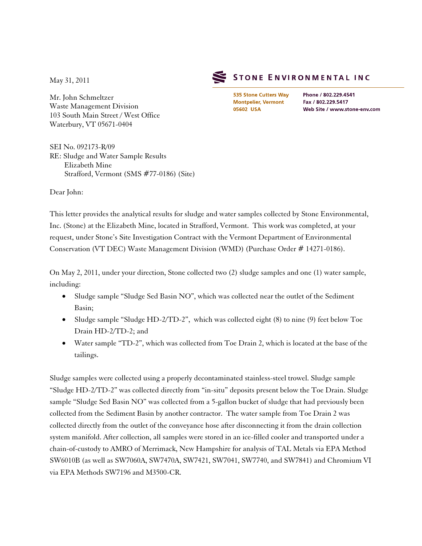May 31, 2011

Mr. John Schmeltzer Waste Management Division 103 South Main Street / West Office Waterbury, VT 05671-0404

SEI No. 092173-R/09 RE: Sludge and Water Sample Results Elizabeth Mine Strafford, Vermont (SMS #77-0186) (Site)

STONE ENVIRONMENTAL INC

535 Stone Cutters Way **Montpelier, Vermont** 05602 USA

Phone / 802.229.4541 Fax / 802.229.5417 Web Site / www.stone-env.com

Dear John:

This letter provides the analytical results for sludge and water samples collected by Stone Environmental, Inc. (Stone) at the Elizabeth Mine, located in Strafford, Vermont. This work was completed, at your request, under Stone's Site Investigation Contract with the Vermont Department of Environmental Conservation (VT DEC) Waste Management Division (WMD) (Purchase Order # 14271-0186).

On May 2, 2011, under your direction, Stone collected two (2) sludge samples and one (1) water sample, including:

- Sludge sample "Sludge Sed Basin NO", which was collected near the outlet of the Sediment Basin;
- Sludge sample "Sludge HD-2/TD-2", which was collected eight (8) to nine (9) feet below Toe Drain HD-2/TD-2; and
- Water sample "TD-2", which was collected from Toe Drain 2, which is located at the base of the tailings.

Sludge samples were collected using a properly decontaminated stainless-steel trowel. Sludge sample "Sludge HD-2/TD-2" was collected directly from "in-situ" deposits present below the Toe Drain. Sludge sample "Sludge Sed Basin NO" was collected from a 5-gallon bucket of sludge that had previously been collected from the Sediment Basin by another contractor. The water sample from Toe Drain 2 was collected directly from the outlet of the conveyance hose after disconnecting it from the drain collection system manifold. After collection, all samples were stored in an ice-filled cooler and transported under a chain-of-custody to AMRO of Merrimack, New Hampshire for analysis of TAL Metals via EPA Method SW6010B (as well as SW7060A, SW7470A, SW7421, SW7041, SW7740, and SW7841) and Chromium VI via EPA Methods SW7196 and M3500-CR.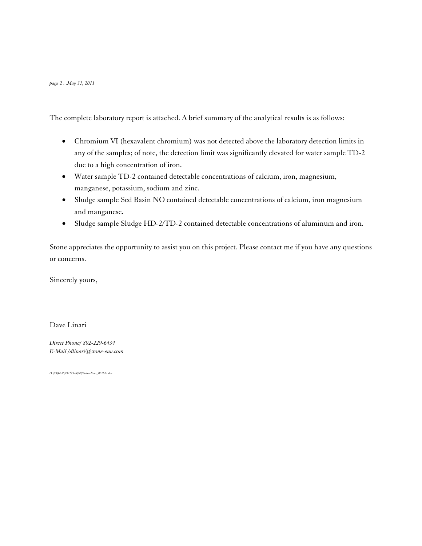The complete laboratory report is attached. A brief summary of the analytical results is as follows:

- Chromium VI (hexavalent chromium) was not detected above the laboratory detection limits in any of the samples; of note, the detection limit was significantly elevated for water sample TD-2 due to a high concentration of iron.
- Water sample TD-2 contained detectable concentrations of calcium, iron, magnesium, manganese, potassium, sodium and zinc.
- Sludge sample Sed Basin NO contained detectable concentrations of calcium, iron magnesium and manganese.
- Sludge sample Sludge HD-2/TD-2 contained detectable concentrations of aluminum and iron.

Stone appreciates the opportunity to assist you on this project. Please contact me if you have any questions or concerns.

Sincerely yours,

Dave Linari

*Direct Phone/ 802-229-6434 E-Mai[l /dlinari@stone-env.com](mailto:/dlinari@stone-env.com)*

*O:\09\I&R\092173-R/09/Schmeltzer\_052611.doc*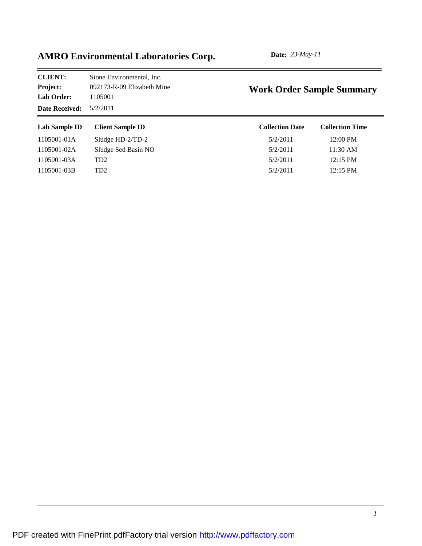| Stone Environmental, Inc.  | <b>Work Order Sample Summary</b> |                        |  |  |  |  |  |  |
|----------------------------|----------------------------------|------------------------|--|--|--|--|--|--|
| 092173-R-09 Elizabeth Mine |                                  |                        |  |  |  |  |  |  |
| 1105001                    |                                  |                        |  |  |  |  |  |  |
| 5/2/2011                   |                                  |                        |  |  |  |  |  |  |
| <b>Client Sample ID</b>    | <b>Collection Date</b>           | <b>Collection Time</b> |  |  |  |  |  |  |
| Sludge $HD-2/TD-2$         | 5/2/2011                         | 12:00 PM               |  |  |  |  |  |  |
| Sludge Sed Basin NO        | 5/2/2011                         | $11:30 \text{ AM}$     |  |  |  |  |  |  |
| TD <sub>2</sub>            | 5/2/2011                         | $12:15$ PM             |  |  |  |  |  |  |
| TD <sub>2</sub>            | 5/2/2011                         | $12:15 \text{ PM}$     |  |  |  |  |  |  |
|                            |                                  |                        |  |  |  |  |  |  |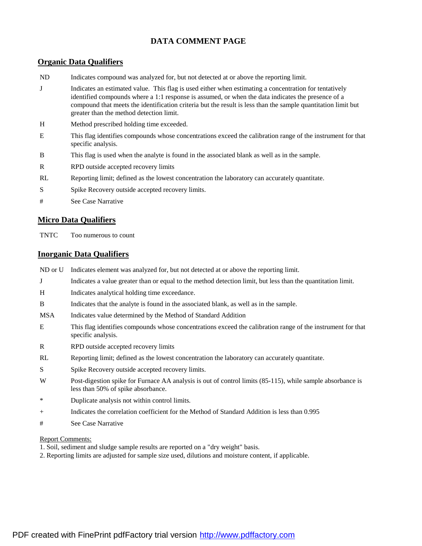### **DATA COMMENT PAGE**

#### **Organic Data Qualifiers**

- ND Indicates compound was analyzed for, but not detected at or above the reporting limit.
- J Indicates an estimated value. This flag is used either when estimating a concentration for tentatively identified compounds where a 1:1 response is assumed, or when the data indicates the presence of a compound that meets the identification criteria but the result is less than the sample quantitation limit but greater than the method detection limit.
- H Method prescribed holding time exceeded.
- E This flag identifies compounds whose concentrations exceed the calibration range of the instrument for that specific analysis.
- B This flag is used when the analyte is found in the associated blank as well as in the sample.
- R RPD outside accepted recovery limits
- RL Reporting limit; defined as the lowest concentration the laboratory can accurately quantitate.
- S Spike Recovery outside accepted recovery limits.
- # See Case Narrative

#### **Micro Data Qualifiers**

TNTC Too numerous to count

#### **Inorganic Data Qualifiers**

- ND or U Indicates element was analyzed for, but not detected at or above the reporting limit.
- J Indicates a value greater than or equal to the method detection limit, but less than the quantitation limit.
- H Indicates analytical holding time exceedance.
- B Indicates that the analyte is found in the associated blank, as well as in the sample.
- MSA Indicates value determined by the Method of Standard Addition
- E This flag identifies compounds whose concentrations exceed the calibration range of the instrument for that specific analysis.
- R RPD outside accepted recovery limits
- RL Reporting limit; defined as the lowest concentration the laboratory can accurately quantitate.
- S Spike Recovery outside accepted recovery limits.
- W Post-digestion spike for Furnace AA analysis is out of control limits (85-115), while sample absorbance is less than 50% of spike absorbance.
- \* Duplicate analysis not within control limits.
- + Indicates the correlation coefficient for the Method of Standard Addition is less than 0.995
- # See Case Narrative

#### Report Comments:

- 1. Soil, sediment and sludge sample results are reported on a "dry weight" basis.
- 2. Reporting limits are adjusted for sample size used, dilutions and moisture content, if applicable.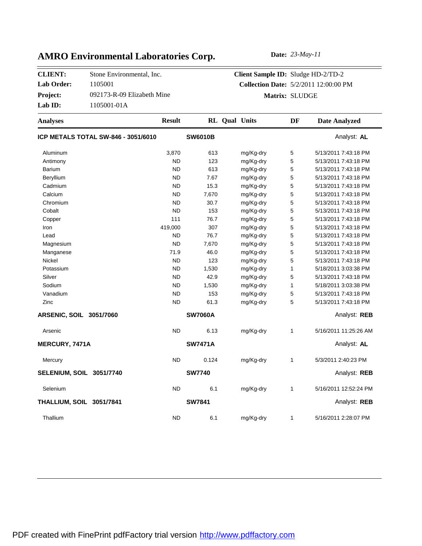Project: 092173-R-09 Elizabeth Mine **CLIENT:** Stone Environmental, Inc. **Lab Order:** 1105001 **Lab ID:** 1105001-01A

# **Client Sample ID:** Sludge HD-2/TD-2 **Collection Date:** 5/2/2011 12:00:00 PM **Matrix:** SLUDGE

| <b>Analyses</b>                     | <b>Result</b> |                | <b>RL</b> Qual Units | DF | <b>Date Analyzed</b>  |
|-------------------------------------|---------------|----------------|----------------------|----|-----------------------|
| ICP METALS TOTAL SW-846 - 3051/6010 |               | <b>SW6010B</b> |                      |    | Analyst: AL           |
| Aluminum                            | 3,870         | 613            | mg/Kg-dry            | 5  | 5/13/2011 7:43:18 PM  |
| Antimony                            | <b>ND</b>     | 123            | mg/Kg-dry            | 5  | 5/13/2011 7:43:18 PM  |
| <b>Barium</b>                       | <b>ND</b>     | 613            | mg/Kg-dry            | 5  | 5/13/2011 7:43:18 PM  |
| Beryllium                           | <b>ND</b>     | 7.67           | mg/Kg-dry            | 5  | 5/13/2011 7:43:18 PM  |
| Cadmium                             | <b>ND</b>     | 15.3           | mg/Kg-dry            | 5  | 5/13/2011 7:43:18 PM  |
| Calcium                             | <b>ND</b>     | 7,670          | mg/Kg-dry            | 5  | 5/13/2011 7:43:18 PM  |
| Chromium                            | <b>ND</b>     | 30.7           | mg/Kg-dry            | 5  | 5/13/2011 7:43:18 PM  |
| Cobalt                              | <b>ND</b>     | 153            | mg/Kg-dry            | 5  | 5/13/2011 7:43:18 PM  |
| Copper                              | 111           | 76.7           | mg/Kg-dry            | 5  | 5/13/2011 7:43:18 PM  |
| Iron                                | 419,000       | 307            | mg/Kg-dry            | 5  | 5/13/2011 7:43:18 PM  |
| Lead                                | <b>ND</b>     | 76.7           | mg/Kg-dry            | 5  | 5/13/2011 7:43:18 PM  |
| Magnesium                           | <b>ND</b>     | 7,670          | mg/Kg-dry            | 5  | 5/13/2011 7:43:18 PM  |
| Manganese                           | 71.9          | 46.0           | mg/Kg-dry            | 5  | 5/13/2011 7:43:18 PM  |
| Nickel                              | <b>ND</b>     | 123            | mg/Kg-dry            | 5  | 5/13/2011 7:43:18 PM  |
| Potassium                           | <b>ND</b>     | 1,530          | mg/Kg-dry            | 1  | 5/18/2011 3:03:38 PM  |
| Silver                              | <b>ND</b>     | 42.9           | mg/Kg-dry            | 5  | 5/13/2011 7:43:18 PM  |
| Sodium                              | <b>ND</b>     | 1,530          | mg/Kg-dry            | 1  | 5/18/2011 3:03:38 PM  |
| Vanadium                            | <b>ND</b>     | 153            | mg/Kg-dry            | 5  | 5/13/2011 7:43:18 PM  |
| Zinc                                | <b>ND</b>     | 61.3           | mg/Kg-dry            | 5  | 5/13/2011 7:43:18 PM  |
| ARSENIC, SOIL 3051/7060             |               | <b>SW7060A</b> |                      |    | Analyst: REB          |
| Arsenic                             | <b>ND</b>     | 6.13           | mg/Kg-dry            | 1  | 5/16/2011 11:25:26 AM |
| MERCURY, 7471A                      |               | <b>SW7471A</b> |                      |    | Analyst: AL           |
| Mercury                             | <b>ND</b>     | 0.124          | mg/Kg-dry            | 1  | 5/3/2011 2:40:23 PM   |
| SELENIUM, SOIL 3051/7740            |               | <b>SW7740</b>  |                      |    | Analyst: REB          |
| Selenium                            | <b>ND</b>     | 6.1            | mg/Kg-dry            | 1  | 5/16/2011 12:52:24 PM |
| THALLIUM, SOIL 3051/7841            |               | <b>SW7841</b>  |                      |    | Analyst: REB          |
| Thallium                            | <b>ND</b>     | 6.1            | mg/Kg-dry            | 1  | 5/16/2011 2:28:07 PM  |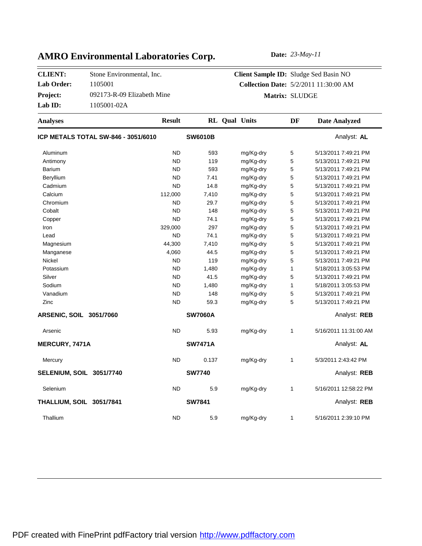Project: 092173-R-09 Elizabeth Mine **CLIENT:** Stone Environmental, Inc. **Lab Order:** 1105001 **Lab ID:** 1105001-02A

# **Client Sample ID:** Sludge Sed Basin NO **Collection Date:** 5/2/2011 11:30:00 AM **Matrix:** SLUDGE

| <b>Analyses</b>                            | <b>Result</b> |                | <b>RL</b> Qual Units |           | DF | <b>Date Analyzed</b>  |
|--------------------------------------------|---------------|----------------|----------------------|-----------|----|-----------------------|
| <b>ICP METALS TOTAL SW-846 - 3051/6010</b> |               | <b>SW6010B</b> |                      |           |    | Analyst: AL           |
| Aluminum                                   | <b>ND</b>     | 593            |                      | mg/Kg-dry | 5  | 5/13/2011 7:49:21 PM  |
| Antimony                                   | <b>ND</b>     | 119            |                      | mg/Kg-dry | 5  | 5/13/2011 7:49:21 PM  |
| <b>Barium</b>                              | <b>ND</b>     | 593            |                      | mg/Kg-dry | 5  | 5/13/2011 7:49:21 PM  |
| Beryllium                                  | <b>ND</b>     | 7.41           |                      | mg/Kg-dry | 5  | 5/13/2011 7:49:21 PM  |
| Cadmium                                    | <b>ND</b>     | 14.8           |                      | mg/Kg-dry | 5  | 5/13/2011 7:49:21 PM  |
| Calcium                                    | 112,000       | 7,410          |                      | mg/Kg-dry | 5  | 5/13/2011 7:49:21 PM  |
| Chromium                                   | <b>ND</b>     | 29.7           |                      | mg/Kg-dry | 5  | 5/13/2011 7:49:21 PM  |
| Cobalt                                     | <b>ND</b>     | 148            |                      | mg/Kg-dry | 5  | 5/13/2011 7:49:21 PM  |
| Copper                                     | <b>ND</b>     | 74.1           |                      | mg/Kg-dry | 5  | 5/13/2011 7:49:21 PM  |
| Iron                                       | 329,000       | 297            |                      | mg/Kg-dry | 5  | 5/13/2011 7:49:21 PM  |
| Lead                                       | <b>ND</b>     | 74.1           |                      | mg/Kg-dry | 5  | 5/13/2011 7:49:21 PM  |
| Magnesium                                  | 44,300        | 7,410          |                      | mg/Kg-dry | 5  | 5/13/2011 7:49:21 PM  |
| Manganese                                  | 4,060         | 44.5           |                      | mg/Kg-dry | 5  | 5/13/2011 7:49:21 PM  |
| Nickel                                     | <b>ND</b>     | 119            |                      | mg/Kg-dry | 5  | 5/13/2011 7:49:21 PM  |
| Potassium                                  | <b>ND</b>     | 1,480          |                      | mg/Kg-dry | 1  | 5/18/2011 3:05:53 PM  |
| Silver                                     | <b>ND</b>     | 41.5           |                      | mg/Kg-dry | 5  | 5/13/2011 7:49:21 PM  |
| Sodium                                     | <b>ND</b>     | 1,480          |                      | mg/Kg-dry | 1  | 5/18/2011 3:05:53 PM  |
| Vanadium                                   | <b>ND</b>     | 148            |                      | mg/Kg-dry | 5  | 5/13/2011 7:49:21 PM  |
| Zinc                                       | <b>ND</b>     | 59.3           |                      | mg/Kg-dry | 5  | 5/13/2011 7:49:21 PM  |
| <b>ARSENIC, SOIL 3051/7060</b>             |               | <b>SW7060A</b> |                      |           |    | Analyst: REB          |
| Arsenic                                    | <b>ND</b>     | 5.93           |                      | mg/Kg-dry | 1  | 5/16/2011 11:31:00 AM |
| <b>MERCURY, 7471A</b>                      |               | <b>SW7471A</b> |                      |           |    | Analyst: AL           |
| Mercury                                    | <b>ND</b>     | 0.137          |                      | mg/Kg-dry | 1  | 5/3/2011 2:43:42 PM   |
| SELENIUM, SOIL 3051/7740                   |               | <b>SW7740</b>  |                      |           |    | Analyst: REB          |
| Selenium                                   | <b>ND</b>     | 5.9            |                      | mg/Kg-dry | 1  | 5/16/2011 12:58:22 PM |
| THALLIUM, SOIL 3051/7841                   |               | <b>SW7841</b>  |                      |           |    | Analyst: REB          |
| Thallium                                   | <b>ND</b>     | 5.9            |                      | mg/Kg-dry | 1  | 5/16/2011 2:39:10 PM  |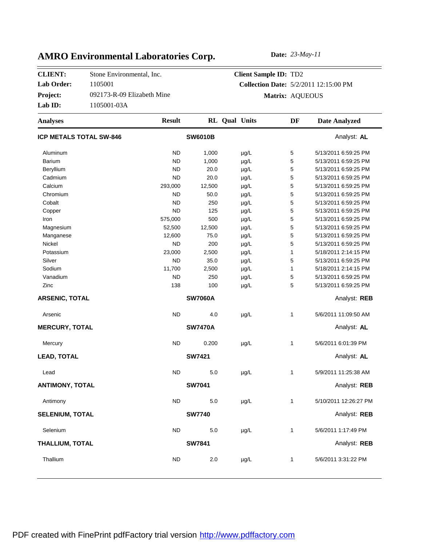Project: 092173-R-09 Elizabeth Mine **CLIENT:** Stone Environmental, Inc. **Lab Order:** 1105001 Lab **ID:** 1105001-03A

# **Client Sample ID:** TD2 **Collection Date:** 5/2/2011 12:15:00 PM **Matrix:** AQUEOUS

| <b>Analyses</b>                | <b>Result</b> |                | <b>RL</b> Qual Units |           | DF           | <b>Date Analyzed</b>  |
|--------------------------------|---------------|----------------|----------------------|-----------|--------------|-----------------------|
| <b>ICP METALS TOTAL SW-846</b> |               | <b>SW6010B</b> |                      |           |              | Analyst: AL           |
| Aluminum                       | <b>ND</b>     | 1,000          |                      | µg/L      | 5            | 5/13/2011 6:59:25 PM  |
| <b>Barium</b>                  | <b>ND</b>     | 1,000          |                      | µg/L      | 5            | 5/13/2011 6:59:25 PM  |
| Beryllium                      | <b>ND</b>     | 20.0           |                      | µg/L      | 5            | 5/13/2011 6:59:25 PM  |
| Cadmium                        | <b>ND</b>     | 20.0           |                      | $\mu$ g/L | 5            | 5/13/2011 6:59:25 PM  |
| Calcium                        | 293,000       | 12,500         |                      | µg/L      | 5            | 5/13/2011 6:59:25 PM  |
| Chromium                       | ND            | 50.0           |                      | $\mu$ g/L | 5            | 5/13/2011 6:59:25 PM  |
| Cobalt                         | <b>ND</b>     | 250            |                      | µg/L      | 5            | 5/13/2011 6:59:25 PM  |
| Copper                         | <b>ND</b>     | 125            |                      | $\mu$ g/L | 5            | 5/13/2011 6:59:25 PM  |
| Iron                           | 575,000       | 500            |                      | µg/L      | 5            | 5/13/2011 6:59:25 PM  |
| Magnesium                      | 52,500        | 12,500         |                      | µg/L      | 5            | 5/13/2011 6:59:25 PM  |
| Manganese                      | 12,600        | 75.0           |                      | µg/L      | $\mathbf 5$  | 5/13/2011 6:59:25 PM  |
| Nickel                         | <b>ND</b>     | 200            |                      | µg/L      | 5            | 5/13/2011 6:59:25 PM  |
| Potassium                      | 23,000        | 2,500          |                      | $\mu$ g/L | $\mathbf{1}$ | 5/18/2011 2:14:15 PM  |
| Silver                         | <b>ND</b>     | 35.0           |                      | $\mu$ g/L | 5            | 5/13/2011 6:59:25 PM  |
| Sodium                         | 11,700        | 2,500          |                      | µg/L      | $\mathbf{1}$ | 5/18/2011 2:14:15 PM  |
| Vanadium                       | <b>ND</b>     | 250            |                      | µg/L      | 5            | 5/13/2011 6:59:25 PM  |
| Zinc                           | 138           | 100            |                      | µg/L      | 5            | 5/13/2011 6:59:25 PM  |
| <b>ARSENIC, TOTAL</b>          |               | <b>SW7060A</b> |                      |           |              | Analyst: REB          |
| Arsenic                        | <b>ND</b>     | 4.0            |                      | $\mu$ g/L | 1            | 5/6/2011 11:09:50 AM  |
| <b>MERCURY, TOTAL</b>          |               | <b>SW7470A</b> |                      |           |              | Analyst: AL           |
| Mercury                        | <b>ND</b>     | 0.200          |                      | $\mu$ g/L | 1            | 5/6/2011 6:01:39 PM   |
| <b>LEAD, TOTAL</b>             |               | <b>SW7421</b>  |                      |           |              | Analyst: AL           |
| Lead                           | <b>ND</b>     | 5.0            |                      | $\mu$ g/L | 1            | 5/9/2011 11:25:38 AM  |
| <b>ANTIMONY, TOTAL</b>         |               | <b>SW7041</b>  |                      |           | Analyst: REB |                       |
| Antimony                       | <b>ND</b>     | 5.0            |                      | µg/L      | $\mathbf{1}$ | 5/10/2011 12:26:27 PM |
| <b>SELENIUM, TOTAL</b>         |               | <b>SW7740</b>  |                      |           |              | Analyst: REB          |
| Selenium                       | <b>ND</b>     | 5.0            |                      | $\mu$ g/L | $\mathbf{1}$ | 5/6/2011 1:17:49 PM   |
| THALLIUM, TOTAL                |               | <b>SW7841</b>  |                      |           |              | Analyst: REB          |
| Thallium                       | <b>ND</b>     | 2.0            |                      | µg/L      | 1            | 5/6/2011 3:31:22 PM   |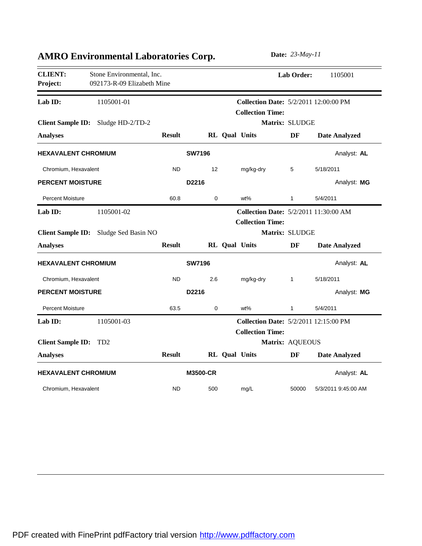| <b>CLIENT:</b><br>Project:   | Stone Environmental, Inc.<br>092173-R-09 Elizabeth Mine |               |                 |                      | Lab Order:                                                              | 1105001              |
|------------------------------|---------------------------------------------------------|---------------|-----------------|----------------------|-------------------------------------------------------------------------|----------------------|
| Lab ID:                      | 1105001-01                                              |               |                 |                      | <b>Collection Date: 5/2/2011 12:00:00 PM</b><br><b>Collection Time:</b> |                      |
| <b>Analyses</b>              | Client Sample ID: Sludge HD-2/TD-2                      | <b>Result</b> |                 | RL Qual Units        | Matrix: SLUDGE<br>DF                                                    | <b>Date Analyzed</b> |
| <b>HEXAVALENT CHROMIUM</b>   |                                                         |               | <b>SW7196</b>   |                      |                                                                         | Analyst: AL          |
| Chromium, Hexavalent         |                                                         | <b>ND</b>     | 12              | mg/kg-dry            | 5                                                                       | 5/18/2011            |
| <b>PERCENT MOISTURE</b>      |                                                         |               | D2216           |                      |                                                                         | Analyst: MG          |
| <b>Percent Moisture</b>      |                                                         | 60.8          | 0               | wt%                  | 1                                                                       | 5/4/2011             |
| Lab ID:                      | 1105001-02                                              |               |                 |                      | <b>Collection Date: 5/2/2011 11:30:00 AM</b><br><b>Collection Time:</b> |                      |
|                              | Client Sample ID: Sludge Sed Basin NO                   |               |                 |                      | Matrix: SLUDGE                                                          |                      |
| <b>Analyses</b>              |                                                         | <b>Result</b> |                 | <b>RL</b> Qual Units | DF                                                                      | <b>Date Analyzed</b> |
| <b>HEXAVALENT CHROMIUM</b>   |                                                         |               | <b>SW7196</b>   |                      |                                                                         | Analyst: AL          |
| Chromium, Hexavalent         |                                                         | <b>ND</b>     | 2.6             | mg/kg-dry            | $\mathbf{1}$                                                            | 5/18/2011            |
| <b>PERCENT MOISTURE</b>      |                                                         |               | D2216           |                      |                                                                         | Analyst: MG          |
| <b>Percent Moisture</b>      |                                                         | 63.5          | 0               | wt%                  | 1                                                                       | 5/4/2011             |
| Lab ID:                      | 1105001-03                                              |               |                 |                      | <b>Collection Date: 5/2/2011 12:15:00 PM</b><br><b>Collection Time:</b> |                      |
| <b>Client Sample ID: TD2</b> |                                                         |               |                 |                      | Matrix: AQUEOUS                                                         |                      |
| <b>Analyses</b>              |                                                         | <b>Result</b> |                 | RL Qual Units        | DF                                                                      | <b>Date Analyzed</b> |
| <b>HEXAVALENT CHROMIUM</b>   |                                                         |               | <b>M3500-CR</b> |                      |                                                                         | Analyst: AL          |
| Chromium, Hexavalent         |                                                         | <b>ND</b>     | 500             | mg/L                 | 50000                                                                   | 5/3/2011 9:45:00 AM  |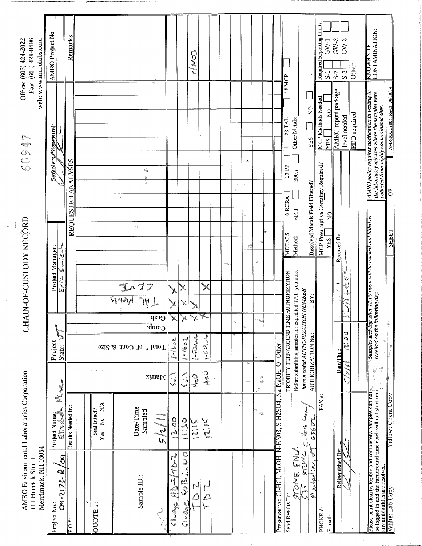| Fax: (603) 429-8496<br>Office: (603) 424-2022                     | web: www.amrolabs.com | AMRO Project No.:   |                               | <b>Remarks</b>                      |                                                     |                       |                                  |                     |                          |                                 | 20<br>$\sum_{\alpha=0}^{\infty}$ |                           |  |                                 |                            |                    |                                              | 14 MCP                                 |                                                       | $\overline{Q}$                                         | Required Reporting Limits:          | $GW-1$<br>$5-1$ | $GW-2$<br>$GW-3$<br>$S-3$<br>$S-2$   | Other:        | KNOWN SITE<br>CONTAMINATION:                                                                                                                                                                                                     |                             |
|-------------------------------------------------------------------|-----------------------|---------------------|-------------------------------|-------------------------------------|-----------------------------------------------------|-----------------------|----------------------------------|---------------------|--------------------------|---------------------------------|----------------------------------|---------------------------|--|---------------------------------|----------------------------|--------------------|----------------------------------------------|----------------------------------------|-------------------------------------------------------|--------------------------------------------------------|-------------------------------------|-----------------|--------------------------------------|---------------|----------------------------------------------------------------------------------------------------------------------------------------------------------------------------------------------------------------------------------|-----------------------------|
| <b>UNGS</b>                                                       |                       | Samplers/Signature) |                               |                                     |                                                     |                       |                                  |                     |                          |                                 |                                  |                           |  |                                 | $\epsilon k$               |                    |                                              | 23 TAL                                 | Other Metals:                                         | <b>YES</b>                                             | <b>MCP Methods Needed:</b>          | 읽<br><b>YES</b> | AMRO report package<br>level needed: | EDD required: | AMRO policy requires notification in writing to<br>the laboratory in cases where the samples were<br>collected from highly contaminated sites.                                                                                   | AMROCOC2004, Rev.3 08/18/04 |
|                                                                   |                       |                     |                               | <b>ANALYSES</b><br><b>REQUESTED</b> |                                                     | $\epsilon$            | ÷<br>Ã,                          |                     |                          |                                 |                                  |                           |  | аŞ,<br>$\omega_{\rm{d},\rm{p}}$ | ä,                         |                    |                                              | $\frac{13}{2}$<br>8 RCRA               | 200.7<br>6010                                         | Dissolved Metals Field Filtered?                       | MCP Presumptive Certainty Required? | $\frac{1}{2}$   |                                      |               |                                                                                                                                                                                                                                  | 히                           |
| CHAIN-OF-CUSTODY RECORD                                           |                       | Project Manager:    | するぶ                           |                                     |                                                     |                       |                                  |                     |                          |                                 |                                  |                           |  |                                 | ٣                          |                    |                                              | <b>METALS</b>                          | Method:                                               |                                                        |                                     | <b>YES</b>      | Received By                          |               | Samples arriving after 12:00 noon will be tracked and billed as<br>received on the following day.                                                                                                                                | <b>SHEET</b>                |
|                                                                   |                       |                     | سائرها                        |                                     |                                                     | $\frac{1}{\sqrt{10}}$ | $\overline{W}$<br>$\ C^{Lsp}$    |                     | $\mathbb{X}$             | X<br>X<br>$\blacktriangleright$ | Y.                               | Y.<br><b>Rose</b>         |  |                                 |                            |                    |                                              | PRIORITY TURNAROUND TIME AUTHORIZATION | Before submitting samples for expedited TAT, you must | ΒŸ:                                                    |                                     |                 | ena<br>Eran                          | i<br>V<br>Þ   |                                                                                                                                                                                                                                  |                             |
|                                                                   |                       | Project             | State:                        |                                     |                                                     |                       | Comp.<br>Total # of Cont. & Size | $1 - 1602$          |                          | $1 - 16 - 1$                    | $1 - 52$                         | مامیرت کرد)               |  |                                 | ÷.                         | à.                 |                                              |                                        |                                                       | have a coded AUTHORIZATION NUMBER<br>AUTHORIZATION No. |                                     |                 | Date/Time                            | c<br>C<br>'nй |                                                                                                                                                                                                                                  |                             |
|                                                                   |                       |                     |                               |                                     | $\epsilon$ ( $\gamma$ $\eta_{\rm max}$ ) $\epsilon$ |                       | xinaM                            | $\hat{\mathcal{C}}$ |                          |                                 | <b>CAL</b>                       | こう                        |  |                                 | $\omega_{\rm NL}^{\rm th}$ | $\sim$<br>еф<br>ţ7 | Na-NaOH, O-Other                             |                                        |                                                       |                                                        |                                     |                 |                                      | $\omega$      | 學<br>$\frac{1}{2}$                                                                                                                                                                                                               |                             |
|                                                                   |                       | Project Name;       | √<br>Eil                      | Results Needed by                   | N/A<br>Seal Intact?<br>$\frac{1}{2}$<br>$Y$ es      | Date/Time             | Sampled<br><b>AND</b>            | so.??               |                          | $\frac{0}{2}$                   | ここ<br>تعبين                      | とこ                        |  |                                 |                            | è,<br>赭            |                                              |                                        |                                                       | لۍ<br>ک<br>329.SO<br>ومميا                             | $FAX$ #:                            |                 |                                      |               |                                                                                                                                                                                                                                  |                             |
| AMRO Environmental Laboratories Corporation<br>111 Herrick Street | Merrimack, NH 03054   | Project No.:        | ୍ଧ<br>$\frac{O(4-7173-R)}{1}$ | $\overline{P.0+}$                   | QUOTE#:                                             |                       | ř<br>Sample ID:                  | $\mathbb{R}$<br>Z   | $\frac{1}{2}$<br>∽<br>∖A | C<br>C<br>a<br>S<br>5140        | N                                | $\mathbf{f}^{\mathbf{m}}$ |  |                                 |                            | $\Delta_{\rm c}$   | Preservative: CI-HCI, MeOH, N-HN03, S-H2SO4, | Send Results To:                       | <b>SEC</b><br>u<br>So<br>r.                           | Montael:er, et<br>JNSIS<br>مها<br>په                   | PHONE#:                             | E-mail:         | Relinquished By                      |               | Please print clearly, legibly and completely. Samples can not get be logged in and the turnaround time clock will not start until any ambiguities are resolved.<br>The sample of the conventional clock will not start until any |                             |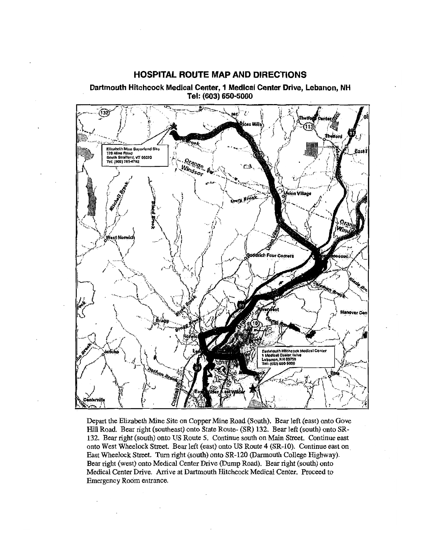

Dartmouth Hitchcock Medical Center, 1 Medical Center Drive, Lebanon, NH Tel: (603) 650-5000

**HOSPITAL ROUTE MAP AND DIRECTIONS** 

Depart the Elizabeth Mine Site on Copper Mine Road (South). Bear left (east) onto Gove Hill Road. Bear right (southeast) onto State Route- (SR) 132. Bear left (south) onto SR-132. Bear right (south) onto US Route 5. Continue south on Main Street. Continue east onto West Wheelock Street. Bear left (east) onto US Route 4 (SR-10). Continue east on East Wheelock Street. Turn right (south) onto SR-120 (Darmouth College Highway). Bear right (west) onto Medical Center Drive (Dump Road). Bear right (south) onto Medical Center Drive. Arrive at Dartmouth Hitchcock Medical Center. Proceed to Emergency Room entrance.